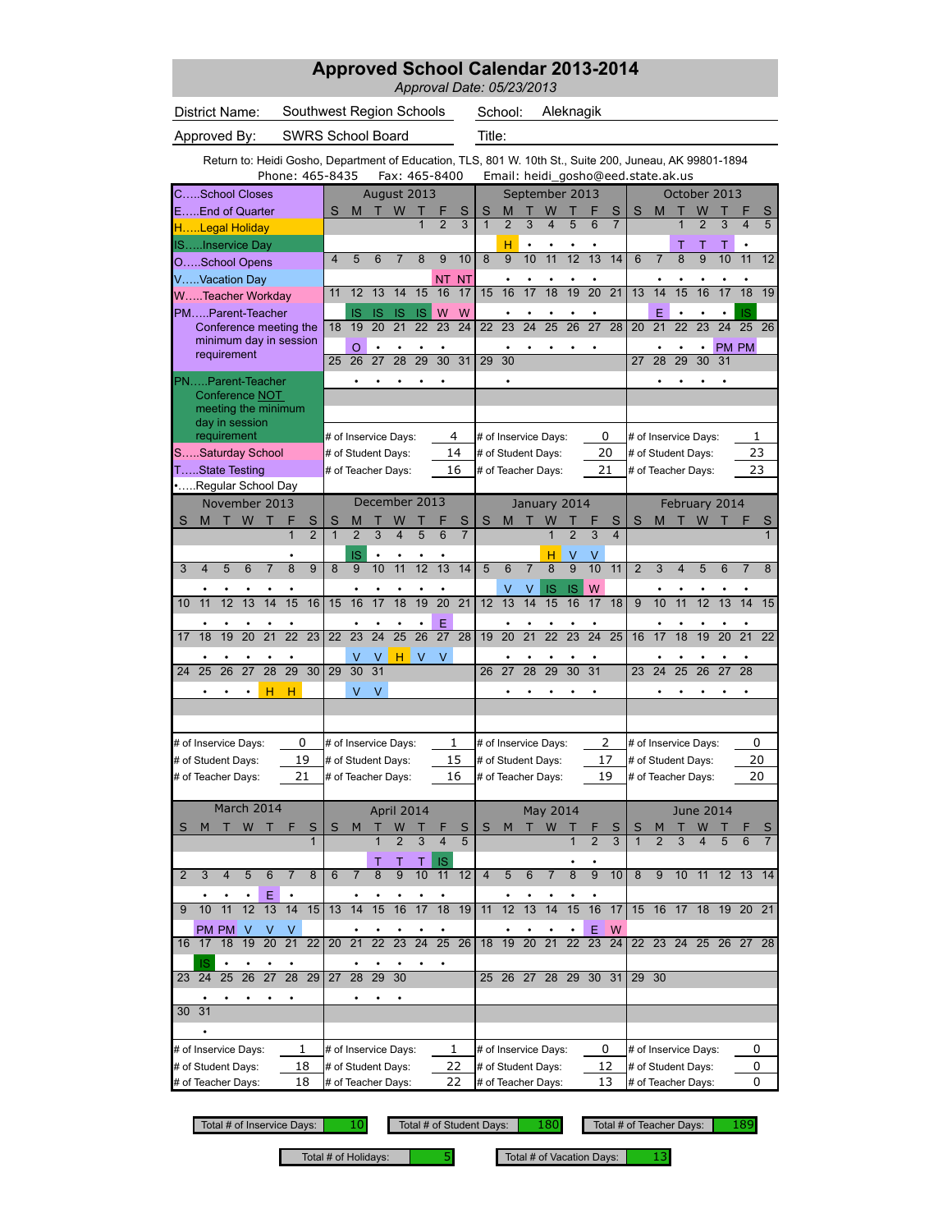|                                                                                                         |                                  | <b>Approved School Calendar 2013-2014</b>                 |                  |                 |                 |                 |                 | Approval Date: 05/23/2013 |                      |                 |                     |                 |                 |                 |                                    |                |                 |                      |                 |                         |                 |
|---------------------------------------------------------------------------------------------------------|----------------------------------|-----------------------------------------------------------|------------------|-----------------|-----------------|-----------------|-----------------|---------------------------|----------------------|-----------------|---------------------|-----------------|-----------------|-----------------|------------------------------------|----------------|-----------------|----------------------|-----------------|-------------------------|-----------------|
| <b>District Name:</b>                                                                                   | Southwest Region Schools         |                                                           |                  |                 |                 |                 |                 |                           | School:              |                 | Aleknagik           |                 |                 |                 |                                    |                |                 |                      |                 |                         |                 |
| Approved By:                                                                                            | <b>SWRS School Board</b>         |                                                           |                  |                 |                 |                 |                 | Title:                    |                      |                 |                     |                 |                 |                 |                                    |                |                 |                      |                 |                         |                 |
| Return to: Heidi Gosho, Department of Education, TLS, 801 W. 10th St., Suite 200, Juneau, AK 99801-1894 |                                  |                                                           |                  |                 |                 |                 |                 |                           |                      |                 |                     |                 |                 |                 |                                    |                |                 |                      |                 |                         |                 |
|                                                                                                         | Phone: 465-8435                  |                                                           |                  | Fax: 465-8400   |                 |                 |                 |                           |                      |                 |                     |                 |                 |                 | Email: heidi_gosho@eed.state.ak.us |                |                 |                      |                 |                         |                 |
| CSchool Closes<br>EEnd of Quarter                                                                       |                                  | S<br>M                                                    | August 2013<br>т | W               | Т               | F               |                 |                           | M                    | т               | September 2013<br>W |                 | F               | S               | S                                  | M              | т               | October 2013<br>W    |                 | F                       |                 |
| HLegal Holiday                                                                                          |                                  |                                                           |                  |                 | $\mathbf{1}$    | $\overline{2}$  | S<br>3          | S<br>$\mathbf{1}$         | $\overline{2}$       | 3               | $\overline{4}$      | 5               | 6               | $\overline{7}$  |                                    |                | 1               | $\overline{2}$       | 3               | $\overline{\mathbf{4}}$ | S<br>5          |
| ISInservice Day                                                                                         |                                  |                                                           |                  |                 |                 |                 |                 |                           | н                    |                 |                     |                 |                 |                 |                                    |                |                 |                      |                 |                         |                 |
| OSchool Opens                                                                                           |                                  | 5<br>$\overline{\mathbf{4}}$                              | 6                | $\overline{7}$  | 8               | 9               | 10              | $\overline{8}$            | $\overline{9}$       | 10              | 11                  | 12              | 13              | 14              | 6                                  | $\overline{7}$ | 8               | $\overline{9}$       | 10              | 11                      | 12              |
| VVacation Day                                                                                           |                                  |                                                           |                  |                 |                 | <b>NT</b>       | <b>NT</b>       |                           | ٠                    |                 |                     |                 |                 |                 |                                    |                |                 |                      |                 |                         |                 |
| WTeacher Workday                                                                                        |                                  | 12<br>11                                                  | 13               | 14              | 15              | 16              | 17              | 15                        | 16                   | 17              | 18                  | 19              | 20              | $\overline{21}$ | 13                                 | 14             | 15              | 16                   | 17              | 18                      | 19              |
| PMParent-Teacher                                                                                        |                                  | IS                                                        | IS<br>20         | IS<br>21        | IS<br>22        | W<br>23         | W<br>24         |                           |                      | 24              |                     | 26              | 27              | 28              |                                    | E<br>21        | $\bullet$<br>22 |                      |                 | IS<br>25                |                 |
| Conference meeting the<br>minimum day in session                                                        |                                  | 19<br>18                                                  |                  |                 |                 |                 |                 | 22                        | 23                   |                 | 25                  |                 |                 |                 | 20                                 |                |                 | 23                   | 24              |                         | 26              |
| requirement                                                                                             |                                  | $\circ$<br>25<br>26                                       | 27               | 28              | 29              | $\overline{30}$ | 31              | 29                        | 30                   |                 |                     |                 |                 |                 | 27                                 | 28             | 29              | 30                   | 31              | PM PM                   |                 |
| PNParent-Teacher                                                                                        |                                  |                                                           |                  |                 |                 |                 |                 |                           | ٠                    |                 |                     |                 |                 |                 |                                    |                |                 |                      |                 |                         |                 |
| Conference NOT                                                                                          |                                  |                                                           |                  |                 |                 |                 |                 |                           |                      |                 |                     |                 |                 |                 |                                    |                |                 |                      |                 |                         |                 |
| meeting the minimum                                                                                     |                                  |                                                           |                  |                 |                 |                 |                 |                           |                      |                 |                     |                 |                 |                 |                                    |                |                 |                      |                 |                         |                 |
| day in session<br>requirement                                                                           |                                  | # of Inservice Days:                                      |                  |                 |                 |                 | 4               |                           | # of Inservice Days: |                 |                     |                 | 0               |                 |                                    |                |                 | # of Inservice Days: |                 | 1                       |                 |
| SSaturday School                                                                                        |                                  | # of Student Days:                                        |                  |                 |                 |                 | 14              |                           | # of Student Days:   |                 |                     |                 | 20              |                 | # of Student Days:                 |                |                 |                      |                 | 23                      |                 |
| TState Testing                                                                                          |                                  |                                                           |                  |                 |                 |                 | 16              |                           |                      |                 |                     |                 | 21              |                 |                                    |                |                 | # of Teacher Days:   |                 | 23                      |                 |
| Regular School Day                                                                                      |                                  | # of Teacher Days:<br># of Teacher Days:<br>December 2013 |                  |                 |                 |                 |                 |                           |                      |                 |                     |                 |                 |                 |                                    |                |                 |                      |                 |                         |                 |
| November 2013                                                                                           |                                  |                                                           |                  |                 |                 |                 |                 |                           |                      |                 | January 2014        |                 |                 |                 |                                    |                |                 | February 2014        |                 |                         |                 |
| W<br>M<br>S                                                                                             | F<br>S                           | S<br>М                                                    |                  |                 |                 |                 | S               | S                         | M                    |                 | W                   |                 |                 | S               | S                                  | M              |                 | W                    |                 |                         | S               |
|                                                                                                         | $\overline{1}$<br>$\overline{2}$ | $\overline{1}$<br>$\overline{2}$                          | $\overline{3}$   | $\overline{4}$  | 5               | $\overline{6}$  | $\overline{7}$  |                           |                      |                 | $\overline{1}$      | $\overline{2}$  | $\overline{3}$  | $\overline{4}$  |                                    |                |                 |                      |                 |                         | $\mathbf{1}$    |
| 5<br>6<br>3<br>4<br>7                                                                                   | 9<br>8                           | IS<br>8<br>9                                              | 10               | 11              | 12              | 13              | 14              | 5                         | 6                    | $\overline{7}$  | н<br>8              | V<br>9          | 10              | 11              | $\overline{2}$                     | 3              | 4               | 5                    | 6               | 7                       | 8               |
|                                                                                                         |                                  |                                                           |                  |                 |                 |                 |                 |                           |                      | ٧               |                     | <b>IS</b>       | W               |                 |                                    |                |                 |                      |                 |                         |                 |
| 11<br>12<br>13<br>14<br>10                                                                              | 15<br>16                         | 15<br>16                                                  | 17               | $\overline{18}$ | $\overline{19}$ | $\overline{20}$ | 21              | 12                        | ٧<br>13              | $\overline{14}$ | IS<br>15            | 16              | 17              | 18              | 9                                  | 10             | 11              | 12                   | 13              | 14                      | 15              |
|                                                                                                         |                                  |                                                           |                  |                 |                 | E               |                 |                           |                      |                 |                     |                 |                 |                 |                                    |                |                 |                      |                 |                         |                 |
| 19<br>20<br>$\overline{21}$<br>18<br>17                                                                 | $\overline{22}$<br>23            | 23<br>22                                                  | $\overline{24}$  | $\overline{25}$ | $\overline{26}$ | $\overline{27}$ | $\overline{28}$ | 19                        | $\overline{20}$      | $\overline{21}$ | $\overline{22}$     | $\overline{23}$ | $\overline{24}$ | $\overline{25}$ | 16                                 | 17             | $\overline{18}$ | 19                   | $\overline{20}$ | $\overline{21}$         | $\overline{22}$ |
| ٠<br>$\bullet$                                                                                          | ٠                                | V                                                         | V                | н               | V               | $\vee$          |                 |                           | $\bullet$            | ٠               | ٠                   | ٠               | ٠               |                 |                                    | ٠              | ٠               | ٠                    |                 | ٠                       |                 |
| $\overline{27}$<br>$\overline{28}$<br>26<br>25<br>24                                                    | $\overline{29}$<br>30            | 30<br>29                                                  | $\overline{31}$  |                 |                 |                 |                 | 26                        | 27                   | 28              | 29                  | 30              | $\overline{31}$ |                 | 23                                 | 24             | 25              | 26                   | 27              | 28                      |                 |
| н                                                                                                       | н                                | $\vee$                                                    | $\vee$           |                 |                 |                 |                 |                           |                      |                 |                     |                 |                 |                 |                                    |                |                 |                      |                 |                         |                 |
|                                                                                                         |                                  |                                                           |                  |                 |                 |                 |                 |                           |                      |                 |                     |                 |                 |                 |                                    |                |                 |                      |                 |                         |                 |
|                                                                                                         |                                  |                                                           |                  |                 |                 |                 |                 |                           |                      |                 |                     |                 |                 |                 |                                    |                |                 |                      |                 |                         |                 |
| # of Inservice Days:                                                                                    | 0                                | # of Inservice Days:                                      |                  |                 |                 |                 | 1               |                           | # of Inservice Days: |                 |                     |                 | 2               |                 | # of Inservice Days:               |                |                 |                      |                 | 0                       |                 |
| # of Student Days:                                                                                      | 19                               | # of Student Days:                                        |                  |                 |                 |                 | 15              |                           | # of Student Days:   |                 |                     |                 | 17              |                 | # of Student Days:                 |                |                 |                      |                 | 20                      |                 |
| # of Teacher Days:                                                                                      | 21                               | # of Teacher Days:                                        |                  |                 |                 |                 | 16              |                           | # of Teacher Days:   |                 |                     |                 | 19              |                 |                                    |                |                 | # of Teacher Days:   |                 | 20                      |                 |
| March 2014                                                                                              |                                  |                                                           |                  | April 2014      |                 |                 |                 |                           |                      |                 | May 2014            |                 |                 |                 |                                    |                |                 | <b>June 2014</b>     |                 |                         |                 |
| W<br>M<br>т<br>S                                                                                        | S                                | S<br>M                                                    |                  | W               |                 |                 | S               | S                         | M                    |                 | W                   |                 |                 | S               | S                                  | M              |                 | W                    |                 | F                       |                 |
|                                                                                                         | $\mathbf{1}$                     |                                                           |                  | $\overline{2}$  | 3               | $\overline{4}$  | 5               |                           |                      |                 |                     | 1               | $\overline{2}$  | 3               | $\mathbf{1}$                       | $\overline{2}$ | 3               | 4                    | 5               | 6                       | $\overline{7}$  |
|                                                                                                         |                                  |                                                           | Т                | Τ               | Т               | IS              |                 |                           |                      |                 |                     |                 |                 |                 |                                    |                |                 |                      |                 |                         |                 |
| 6<br>3<br>$\overline{4}$<br>5<br>2                                                                      | $\overline{7}$<br>8              | 6<br>$\overline{7}$                                       | 8                | 9               | 10              | 11              | 12              | $\overline{4}$            | 5                    | 6               | $\overline{7}$      | 8               | 9               | 10              | 8                                  | 9              | 10              | $\overline{11}$      |                 | 12 13 14                |                 |
| Ε                                                                                                       |                                  |                                                           |                  |                 |                 |                 |                 |                           |                      |                 |                     |                 |                 |                 |                                    |                |                 |                      |                 |                         |                 |
| 13<br>10<br>11<br>12<br>9                                                                               | 14<br>15                         | 13<br>14                                                  | 15               | 16              | 17              | 18              | 19              | 11                        | 12                   | 13              | 14                  | 15              | 16              | 17              | 15                                 | 16             | 17              | 18                   | 19              | $20\quad21$             |                 |
| PM PM<br>V<br>٧<br>$\overline{20}$<br>18<br>19<br>16<br>17                                              | V<br>$\overline{21}$<br>22       | $\overline{21}$<br>20                                     | $\overline{22}$  | $\overline{23}$ | $\overline{24}$ | $\overline{25}$ | $\overline{26}$ | 18                        | 19                   | 20              | $\overline{21}$     | $\overline{22}$ | Е<br>23         | W<br>24         | 22                                 |                | 24              | 25                   | 26              | 27 28                   |                 |
|                                                                                                         |                                  |                                                           |                  |                 |                 |                 |                 |                           |                      |                 |                     |                 |                 |                 |                                    | 23             |                 |                      |                 |                         |                 |
| IS<br>$\overline{25}$<br>$\overline{27}$<br>24<br>26<br>23                                              | 28 29                            | $\overline{28}$<br>27                                     | $\overline{29}$  | 30              | ٠               | ٠               |                 |                           | 25 26 27             |                 | 28 29 30 31         |                 |                 |                 |                                    | 29 30          |                 |                      |                 |                         |                 |
|                                                                                                         |                                  |                                                           |                  |                 |                 |                 |                 |                           |                      |                 |                     |                 |                 |                 |                                    |                |                 |                      |                 |                         |                 |
| 31<br>30                                                                                                |                                  |                                                           |                  |                 |                 |                 |                 |                           |                      |                 |                     |                 |                 |                 |                                    |                |                 |                      |                 |                         |                 |
|                                                                                                         |                                  |                                                           |                  |                 |                 |                 |                 |                           |                      |                 |                     |                 |                 |                 |                                    |                |                 |                      |                 |                         |                 |
| # of Inservice Days:                                                                                    | 1                                | # of Inservice Days:                                      |                  |                 |                 |                 | 1               |                           | # of Inservice Days: |                 |                     |                 | 0               |                 | # of Inservice Days:               |                |                 |                      |                 | 0                       |                 |
| # of Student Days:                                                                                      | 18                               | # of Student Days:                                        |                  |                 |                 |                 | 22              |                           | # of Student Days:   |                 |                     |                 | 12              |                 |                                    |                |                 | # of Student Days:   |                 | 0                       |                 |
| # of Teacher Days:                                                                                      | 18                               | # of Teacher Days:                                        |                  |                 |                 |                 | 22              |                           | # of Teacher Days:   |                 |                     |                 | 13              |                 |                                    |                |                 | # of Teacher Days:   |                 | 0                       |                 |

Total # of Holidays:  $\begin{array}{|c|c|c|c|c|} \hline \end{array}$  Total # of Vacation Days:  $\begin{array}{|c|c|c|c|c|} \hline \end{array}$  13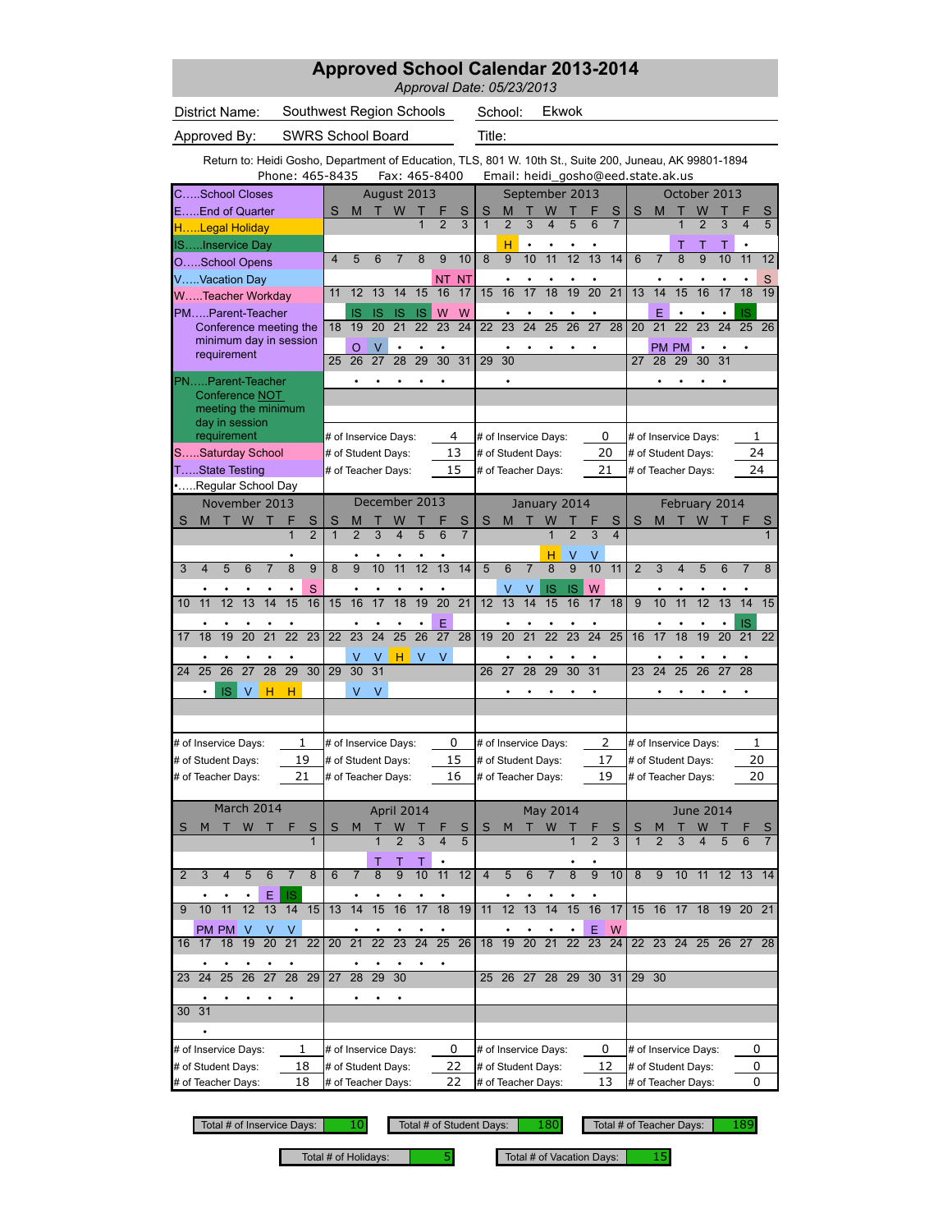|                                                                                                         |                                    | <b>Approved School Calendar 2013-2014</b> |                 |                 |                 |                      |                 | Approval Date: 05/23/2013 |                                    |                 |                 |                 |                 |                         |                    |                |                      |                  |                 |                         |                 |
|---------------------------------------------------------------------------------------------------------|------------------------------------|-------------------------------------------|-----------------|-----------------|-----------------|----------------------|-----------------|---------------------------|------------------------------------|-----------------|-----------------|-----------------|-----------------|-------------------------|--------------------|----------------|----------------------|------------------|-----------------|-------------------------|-----------------|
| <b>District Name:</b>                                                                                   | Southwest Region Schools           |                                           |                 |                 |                 |                      |                 |                           | School:                            |                 | Ekwok           |                 |                 |                         |                    |                |                      |                  |                 |                         |                 |
| Approved By:                                                                                            | <b>SWRS School Board</b>           |                                           |                 |                 |                 |                      |                 | Title:                    |                                    |                 |                 |                 |                 |                         |                    |                |                      |                  |                 |                         |                 |
| Return to: Heidi Gosho, Department of Education, TLS, 801 W. 10th St., Suite 200, Juneau, AK 99801-1894 | Phone: 465-8435                    |                                           |                 | Fax: 465-8400   |                 |                      |                 |                           | Email: heidi_gosho@eed.state.ak.us |                 |                 |                 |                 |                         |                    |                |                      |                  |                 |                         |                 |
| CSchool Closes                                                                                          |                                    |                                           |                 | August 2013     |                 |                      |                 |                           |                                    |                 | September 2013  |                 |                 |                         |                    |                | October 2013         |                  |                 |                         |                 |
| EEnd of Quarter                                                                                         |                                    | S<br>M                                    | т               | W               | Т               | F                    | S               | S                         | M                                  |                 | W               |                 | F               | S                       | S                  | M              | т                    | W                |                 | F                       | S               |
| HLegal Holiday                                                                                          |                                    |                                           |                 |                 | $\mathbf{1}$    | $\overline{2}$       | 3               | $\mathbf{1}$              | $\overline{2}$                     | 3               | $\overline{4}$  | 5               | 6               | $\overline{7}$          |                    |                | 1                    | $\overline{2}$   | 3               | $\overline{\mathbf{4}}$ | 5               |
| ISInservice Day                                                                                         |                                    |                                           |                 |                 |                 |                      |                 |                           | н                                  |                 |                 |                 |                 |                         |                    |                |                      |                  |                 |                         |                 |
| OSchool Opens                                                                                           |                                    | 5<br>$\overline{\mathbf{4}}$              | 6               | $\overline{7}$  | 8               | 9                    | 10              | $\overline{8}$            | $\overline{9}$                     | 10              | 11              | 12              | 13              | 14                      | 6                  | $\overline{7}$ | 8                    | $\overline{9}$   | 10              | 11                      | 12              |
| VVacation Day<br>WTeacher Workday                                                                       |                                    | 12<br>11                                  | 13              | 14              | 15              | <b>NT</b><br>16      | <b>NT</b><br>17 | 15                        | ٠<br>16                            | 17              | 18              | 19              | 20              | $\overline{21}$         | 13                 | 14             | 15                   | 16               | 17              | $\overline{18}$         | S<br>19         |
| PMParent-Teacher                                                                                        |                                    | IS                                        | IS              | IS              | IS              | W                    | W               |                           |                                    |                 |                 |                 |                 |                         |                    | Е              | $\bullet$            |                  |                 | IS                      |                 |
| Conference meeting the                                                                                  |                                    | 18<br>19                                  | 20              | 21              | 22              | 23                   | 24              | 22                        | 23                                 | 24              | 25              | 26              | 27              | 28                      | 20                 | 21             | 22                   | 23               | 24              | 25                      | 26              |
| minimum day in session                                                                                  |                                    | O                                         | $\vee$          |                 |                 |                      |                 |                           |                                    |                 |                 |                 |                 |                         |                    |                | <b>PM PM</b>         |                  |                 |                         |                 |
| requirement                                                                                             |                                    | 25<br>26                                  | 27              | 28              | 29              | $\overline{30}$      | 31              | 29                        | 30                                 |                 |                 |                 |                 |                         | 27                 | 28             | 29                   | 30               | 31              |                         |                 |
| PNParent-Teacher                                                                                        |                                    |                                           |                 |                 |                 |                      |                 |                           | ٠                                  |                 |                 |                 |                 |                         |                    |                |                      |                  |                 |                         |                 |
| Conference NOT<br>meeting the minimum                                                                   |                                    |                                           |                 |                 |                 |                      |                 |                           |                                    |                 |                 |                 |                 |                         |                    |                |                      |                  |                 |                         |                 |
| day in session                                                                                          |                                    |                                           |                 |                 |                 |                      |                 |                           |                                    |                 |                 |                 |                 |                         |                    |                |                      |                  |                 |                         |                 |
| requirement                                                                                             |                                    | # of Inservice Days:                      |                 |                 |                 |                      | 4               |                           | # of Inservice Days:               |                 |                 |                 | 0               |                         |                    |                | # of Inservice Days: |                  |                 | 1                       |                 |
| SSaturday School                                                                                        |                                    | # of Student Days:                        |                 |                 |                 |                      | 13              |                           | # of Student Days:                 |                 |                 |                 | 20              |                         |                    |                | # of Student Days:   |                  |                 | 24                      |                 |
| TState Testing<br>Regular School Day                                                                    |                                    | # of Teacher Days:                        |                 |                 |                 |                      | 15              |                           | # of Teacher Days:                 |                 |                 |                 | 21              |                         |                    |                | # of Teacher Days:   |                  |                 | 24                      |                 |
| November 2013                                                                                           |                                    |                                           | December 2013   |                 |                 |                      |                 |                           |                                    |                 | January 2014    |                 |                 |                         |                    |                | February 2014        |                  |                 |                         |                 |
| W<br>M<br>S                                                                                             | S                                  | S<br>M                                    |                 |                 |                 |                      | S               | S                         | M                                  |                 | W               |                 |                 | S                       | S                  | M              |                      | W                |                 |                         | S               |
|                                                                                                         | $\overline{1}$<br>$\overline{2}$   | $\overline{1}$<br>$\overline{2}$          | $\overline{3}$  | 4               | 5               | $\overline{6}$       | $\overline{7}$  |                           |                                    |                 | $\overline{1}$  | $\overline{2}$  | $\overline{3}$  | $\overline{\mathbf{4}}$ |                    |                |                      |                  |                 |                         | 1               |
|                                                                                                         |                                    |                                           |                 |                 |                 |                      |                 |                           |                                    |                 | н               | V               |                 |                         |                    |                |                      |                  |                 |                         |                 |
| 5<br>6<br>3<br>4<br>7                                                                                   | 9<br>8                             | 8<br>9                                    | 10              | 11              | 12              | 13                   | 14              | 5                         | 6                                  | $\overline{7}$  | 8               | 9               | 10              | 11                      | $\overline{2}$     | 3              | 4                    | 5                | 6               | 7                       | 8               |
|                                                                                                         | S                                  |                                           |                 |                 |                 |                      |                 |                           | ٧                                  | ٧               | IS              | IS              | W               |                         |                    |                |                      |                  |                 |                         |                 |
| 11<br>12<br>13<br>14<br>10                                                                              | 15<br>16                           | 15<br>16                                  | 17              | $\overline{18}$ | $\overline{19}$ | $\overline{20}$      | 21              | 12                        | 13                                 | $\overline{14}$ | 15              | 16              | 17              | 18                      | 9                  | 10             | 11                   | $\overline{12}$  | $\overline{13}$ | $\overline{14}$         | 15              |
| 19<br>$\overline{20}$<br>$\overline{21}$<br>18<br>17                                                    | $\overline{22}$<br>$\overline{23}$ | 23<br>22                                  | $\overline{24}$ | $\overline{25}$ | $\overline{26}$ | E<br>$\overline{27}$ | $\overline{28}$ | 19                        | $\overline{20}$                    | $\overline{21}$ | $\overline{22}$ | $\overline{23}$ | $\overline{24}$ | $\overline{25}$         | 16                 | 17             | $\overline{18}$      | 19               | $\overline{20}$ | IS<br>21                | $\overline{22}$ |
| ٠                                                                                                       | ٠                                  | V                                         | V               | н               | V               | $\vee$               |                 |                           | $\bullet$                          | ٠               | ٠               | ٠               | ٠               |                         |                    | ٠              | ٠                    | ٠                |                 | ٠                       |                 |
| $\overline{27}$<br>$\overline{28}$<br>26<br>25<br>24                                                    | $\overline{29}$<br>30              | 30<br>29                                  | $\overline{31}$ |                 |                 |                      |                 | 26                        | 27                                 | 28              | 29              | 30              | $\overline{31}$ |                         | 23                 | 24             | 25                   | 26               | 27              | 28                      |                 |
| V<br>IS<br>н                                                                                            | н                                  | $\vee$                                    | $\vee$          |                 |                 |                      |                 |                           |                                    |                 |                 |                 |                 |                         |                    |                |                      |                  |                 |                         |                 |
|                                                                                                         |                                    |                                           |                 |                 |                 |                      |                 |                           |                                    |                 |                 |                 |                 |                         |                    |                |                      |                  |                 |                         |                 |
|                                                                                                         |                                    |                                           |                 |                 |                 |                      |                 |                           |                                    |                 |                 |                 |                 |                         |                    |                |                      |                  |                 |                         |                 |
| # of Inservice Days:                                                                                    | 1                                  | # of Inservice Days:                      |                 |                 |                 | 0                    |                 |                           | # of Inservice Days:               |                 |                 |                 | 2               |                         |                    |                | # of Inservice Days: |                  |                 | 1                       |                 |
| # of Student Days:                                                                                      | 19                                 | # of Student Days:                        |                 |                 |                 |                      | 15              |                           | # of Student Days:                 |                 |                 |                 | 17              |                         | # of Student Days: |                |                      |                  |                 | 20                      |                 |
| # of Teacher Days:                                                                                      | 21                                 | # of Teacher Days:                        |                 |                 |                 |                      | 16              |                           | # of Teacher Days:                 |                 |                 |                 | 19              |                         |                    |                | # of Teacher Days:   |                  |                 | 20                      |                 |
| March 2014                                                                                              |                                    |                                           |                 | April 2014      |                 |                      |                 |                           |                                    |                 | May 2014        |                 |                 |                         |                    |                |                      | <b>June 2014</b> |                 |                         |                 |
| W<br>M<br>т<br>S                                                                                        | S                                  | S<br>M                                    |                 | W               |                 |                      | S               | S                         | M                                  |                 | W               |                 |                 | S                       | S                  | M              |                      | W                |                 | F                       |                 |
|                                                                                                         | $\mathbf{1}$                       |                                           |                 | $\overline{2}$  | 3               | $\overline{4}$       | 5               |                           |                                    |                 |                 | 1               | $\overline{2}$  | 3                       | $\mathbf{1}$       | $\overline{2}$ | 3                    | 4                | 5               | 6                       | $\overline{7}$  |
|                                                                                                         |                                    |                                           | Τ               | Τ               |                 |                      |                 |                           |                                    |                 |                 |                 |                 |                         |                    |                |                      |                  |                 |                         |                 |
| 3<br>$\overline{4}$<br>5<br>6<br>2                                                                      | 8<br>$\overline{7}$                | 6<br>$\overline{7}$                       | 8               | 9               | 10              | 11                   | 12              | $\overline{4}$            | 5                                  | 6               | $\overline{7}$  | 8               | 9               | 10                      | 8                  | 9              | 10                   | $\overline{11}$  |                 | 12 13 14                |                 |
| Е                                                                                                       | IS                                 |                                           |                 |                 |                 |                      |                 |                           |                                    |                 |                 |                 |                 |                         |                    |                |                      |                  |                 |                         |                 |
| 10<br>11<br>12<br>13<br>9                                                                               | 14<br>15                           | 13<br>14                                  | 15              | 16              | 17              | 18                   | 19              | 11                        | 12                                 | 13              | 14              | 15              | 16              | 17                      | 15                 | 16             | 17                   | 18               | 19              | $20\quad21$             |                 |
| PM PM<br>V<br>V<br>$\overline{20}$<br>18<br>19<br>16<br>17                                              | V<br>$\overline{21}$<br>22         | $\overline{21}$<br>20                     | $\overline{22}$ | 23              | $\overline{24}$ | $\overline{25}$      | $\overline{26}$ | 18                        | 19                                 | 20              | $\overline{21}$ | $\overline{22}$ | Е<br>23         | W<br>24                 | 22                 | 23             | 24                   | 25               | 26              | 27 28                   |                 |
|                                                                                                         |                                    |                                           |                 |                 | ٠               |                      |                 |                           |                                    |                 |                 |                 |                 |                         |                    |                |                      |                  |                 |                         |                 |
| $\overline{25}$<br>$\overline{27}$<br>24<br>26<br>23                                                    | 28 29                              | $\overline{28}$<br>27                     | $\overline{29}$ | 30              |                 | ٠                    |                 |                           | 25 26 27                           |                 | 28 29 30 31     |                 |                 |                         |                    | 29 30          |                      |                  |                 |                         |                 |
|                                                                                                         |                                    |                                           |                 |                 |                 |                      |                 |                           |                                    |                 |                 |                 |                 |                         |                    |                |                      |                  |                 |                         |                 |
| 31<br>30                                                                                                |                                    |                                           |                 |                 |                 |                      |                 |                           |                                    |                 |                 |                 |                 |                         |                    |                |                      |                  |                 |                         |                 |
|                                                                                                         |                                    |                                           |                 |                 |                 |                      |                 |                           |                                    |                 |                 |                 |                 |                         |                    |                |                      |                  |                 |                         |                 |
| # of Inservice Days:                                                                                    | 1                                  | # of Inservice Days:                      |                 |                 |                 |                      | 0               |                           | # of Inservice Days:               |                 |                 |                 | 0               |                         |                    |                | # of Inservice Days: |                  |                 | 0                       |                 |
| # of Student Days:                                                                                      | 18                                 | # of Student Days:                        |                 |                 |                 |                      | 22              |                           | # of Student Days:                 |                 |                 |                 | 12              |                         |                    |                | # of Student Days:   |                  |                 | 0                       |                 |
| # of Teacher Days:                                                                                      | 18                                 | # of Teacher Days:                        |                 |                 |                 |                      | 22              |                           | # of Teacher Days:                 |                 |                 |                 | 13              |                         |                    |                | # of Teacher Days:   |                  |                 | 0                       |                 |

Total # of Holidays:  $\begin{array}{|c|c|c|c|c|} \hline \end{array}$  Total # of Vacation Days: 15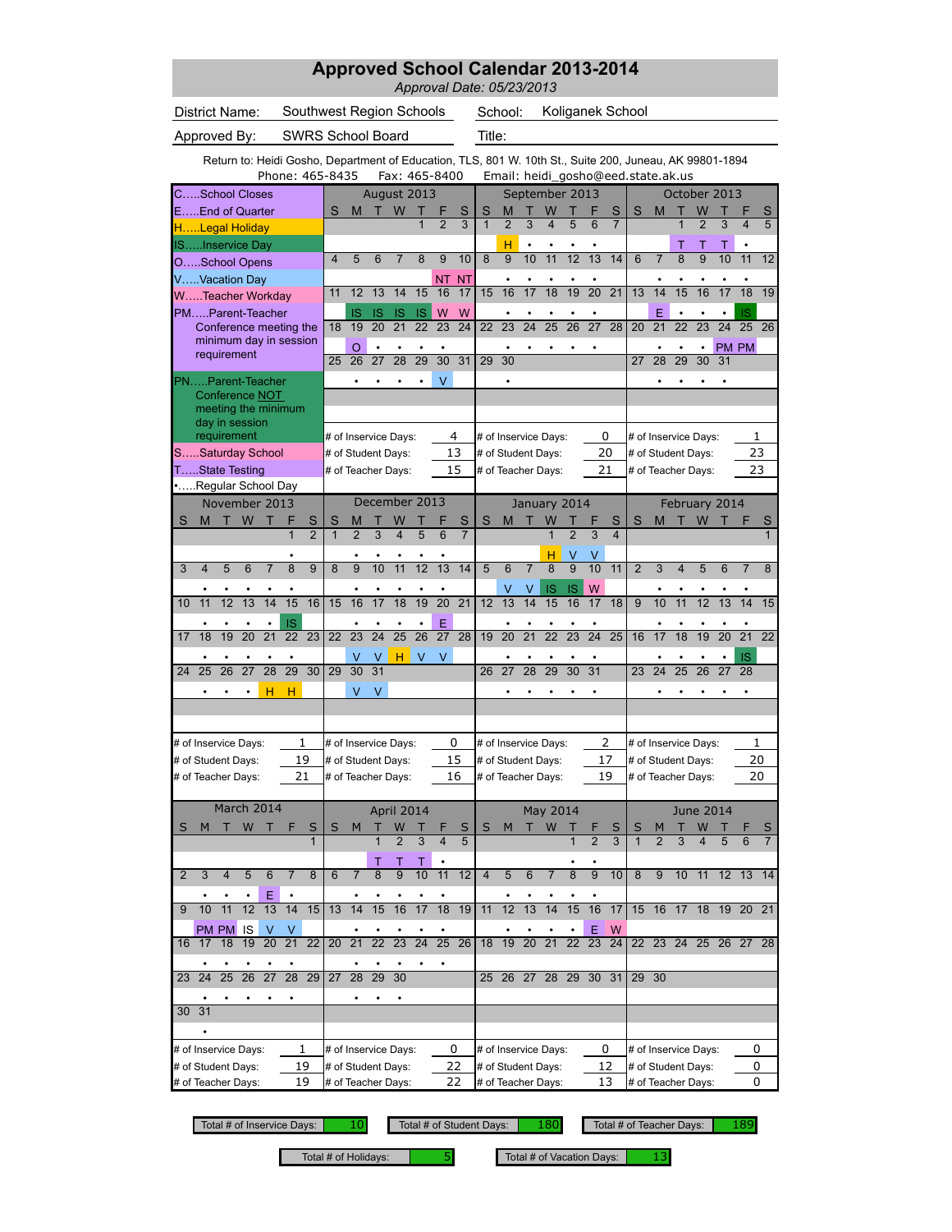|                                                                                                         |                                  | <b>Approved School Calendar 2013-2014</b>                                                        |                 |                 |                 | Approval Date: 05/23/2013 |                 |                         |                      |                 |                         |                 |                 |                         |                                    |                |                    |                      |                 |                 |                 |
|---------------------------------------------------------------------------------------------------------|----------------------------------|--------------------------------------------------------------------------------------------------|-----------------|-----------------|-----------------|---------------------------|-----------------|-------------------------|----------------------|-----------------|-------------------------|-----------------|-----------------|-------------------------|------------------------------------|----------------|--------------------|----------------------|-----------------|-----------------|-----------------|
| <b>District Name:</b>                                                                                   | Southwest Region Schools         |                                                                                                  |                 |                 |                 |                           |                 |                         | School:              |                 |                         |                 |                 |                         | Koliganek School                   |                |                    |                      |                 |                 |                 |
| Approved By:                                                                                            | <b>SWRS School Board</b>         |                                                                                                  |                 |                 |                 |                           |                 | Title:                  |                      |                 |                         |                 |                 |                         |                                    |                |                    |                      |                 |                 |                 |
| Return to: Heidi Gosho, Department of Education, TLS, 801 W. 10th St., Suite 200, Juneau, AK 99801-1894 | Phone: 465-8435                  |                                                                                                  |                 | Fax: 465-8400   |                 |                           |                 |                         |                      |                 |                         |                 |                 |                         | Email: heidi_gosho@eed.state.ak.us |                |                    |                      |                 |                 |                 |
| CSchool Closes                                                                                          |                                  |                                                                                                  |                 | August 2013     |                 |                           |                 |                         |                      |                 | September 2013          |                 |                 |                         |                                    |                |                    | October 2013         |                 |                 |                 |
| E End of Quarter                                                                                        |                                  | S<br>M                                                                                           | т               | W               | Т               | F                         | S               | S                       | M                    | т               | W                       | Т               | F               | S                       | S                                  | M              | т                  | W                    |                 | F               | S               |
| HLegal Holiday                                                                                          |                                  |                                                                                                  |                 |                 | $\mathbf{1}$    | $\overline{2}$            | 3               | $\mathbf{1}$            | $\overline{2}$       | 3               | $\overline{\mathbf{4}}$ | 5               | 6               | $\overline{7}$          |                                    |                | 1                  | $\overline{2}$       | 3               | $\overline{4}$  | 5               |
| ISInservice Day                                                                                         |                                  |                                                                                                  |                 |                 |                 |                           |                 |                         | н                    |                 |                         |                 |                 |                         |                                    |                |                    |                      |                 |                 |                 |
| OSchool Opens                                                                                           |                                  | 5<br>4                                                                                           | 6               | 7               | 8               | 9                         | 10              | 8                       | $\overline{9}$       | 10              | 11                      | $\overline{12}$ | 13              | 14                      | 6                                  | 7              | 8                  | 9                    | 10              | 11              | 12              |
| VVacation Day<br>WTeacher Workday                                                                       |                                  | 11<br>12                                                                                         | 13              | 14              | 15              | NT<br>16                  | <b>NT</b><br>17 | 15                      | ٠<br>16              | 17              | 18                      | 19              | $\overline{20}$ | $\overline{21}$         | 13                                 | 14             | 15                 | 16                   | 17              | 18              | 19              |
| PMParent-Teacher                                                                                        |                                  | <b>IS</b>                                                                                        | IS              | IS              | <b>IS</b>       | W                         | W               |                         |                      |                 |                         |                 |                 |                         |                                    | E              | $\bullet$          |                      |                 | IS              |                 |
| Conference meeting the                                                                                  |                                  | 19<br>18                                                                                         | 20              | 21              | 22              | 23                        | 24              | 22                      | 23                   | 24              | 25                      | 26              | 27              | 28                      | 20                                 | 21             | 22                 | 23                   | 24              | 25              | 26              |
| minimum day in session                                                                                  |                                  | O                                                                                                |                 |                 |                 |                           |                 |                         |                      |                 |                         |                 |                 |                         |                                    |                |                    |                      |                 | PM PM           |                 |
| requirement                                                                                             |                                  | 25<br>26                                                                                         | 27              | 28              | 29              | $\overline{30}$           | 31              | 29                      | 30                   |                 |                         |                 |                 |                         | 27                                 | 28             | 29                 | 30                   | 31              |                 |                 |
| PNParent-Teacher                                                                                        |                                  |                                                                                                  |                 |                 |                 | V                         |                 |                         |                      |                 |                         |                 |                 |                         |                                    |                |                    |                      |                 |                 |                 |
| Conference NOT<br>meeting the minimum                                                                   |                                  |                                                                                                  |                 |                 |                 |                           |                 |                         |                      |                 |                         |                 |                 |                         |                                    |                |                    |                      |                 |                 |                 |
| day in session                                                                                          |                                  |                                                                                                  |                 |                 |                 |                           |                 |                         |                      |                 |                         |                 |                 |                         |                                    |                |                    |                      |                 |                 |                 |
| requirement                                                                                             |                                  | 4<br>0<br># of Inservice Days:<br># of Inservice Days:<br>13<br>20                               |                 |                 |                 |                           |                 |                         |                      |                 |                         |                 |                 |                         |                                    |                |                    | # of Inservice Days: |                 | 1               |                 |
| SSaturday School                                                                                        |                                  | # of Student Days:<br># of Student Days:<br>15<br># of Teacher Days:<br>21<br># of Teacher Days: |                 |                 |                 |                           |                 |                         |                      |                 |                         |                 |                 |                         |                                    |                | # of Student Days: |                      | 23              |                 |                 |
| TState Testing<br>Regular School Day                                                                    |                                  |                                                                                                  |                 |                 |                 |                           |                 |                         |                      |                 |                         |                 |                 |                         |                                    |                | # of Teacher Days: |                      | 23              |                 |                 |
| November 2013                                                                                           |                                  |                                                                                                  | December 2013   |                 |                 |                           |                 |                         |                      |                 | January 2014            |                 |                 |                         |                                    |                |                    | February 2014        |                 |                 |                 |
| W<br>M<br>S                                                                                             | S                                | S<br>М                                                                                           |                 |                 |                 |                           | S               | S                       | M                    |                 | W                       |                 |                 | S                       | S                                  | M              |                    | w                    |                 |                 | S               |
|                                                                                                         | $\overline{2}$<br>1              | $\overline{1}$<br>$\overline{2}$                                                                 | $\overline{3}$  | 4               | 5               | 6                         | $\overline{7}$  |                         |                      |                 | $\overline{1}$          | $\overline{2}$  | $\overline{3}$  | $\overline{\mathbf{4}}$ |                                    |                |                    |                      |                 |                 | $\mathbf{1}$    |
|                                                                                                         |                                  |                                                                                                  |                 |                 |                 |                           |                 |                         |                      |                 | н                       | V               |                 |                         |                                    |                |                    |                      |                 |                 |                 |
| 5<br>6<br>7<br>3<br>4                                                                                   | 9<br>8                           | 8<br>9                                                                                           | 10              | 11              | 12              | 13                        | 14              | 5                       | 6                    | 7               | 8                       | 9               | 10              | 11                      | $\overline{2}$                     | 3              | 4                  | 5                    | 6               | 7               | 8               |
|                                                                                                         |                                  |                                                                                                  |                 |                 |                 |                           |                 |                         | ٧                    |                 | IS                      | IS              | W               |                         |                                    |                |                    |                      |                 |                 |                 |
| 12<br>13<br>14<br>11<br>10                                                                              | 15<br>16                         | 15<br>16                                                                                         | 17              | 18              | 19              | $\overline{20}$           | 21              | 12                      | 13                   | 14              | 15                      | 16              | 17              | 18                      | 9                                  | 10             | 11                 | 12                   | 13              | 14              | 15              |
| $\overline{19}$<br>20<br>$\overline{21}$<br>18<br>17                                                    | IS<br>$\overline{23}$<br>22      | $\overline{23}$<br>22                                                                            | $\overline{24}$ | $\overline{25}$ | $\overline{26}$ | E<br>$\overline{27}$      | 28              | 19                      | $\overline{20}$      | $\overline{21}$ | $\overline{22}$         | $\overline{23}$ | $\overline{24}$ | $\overline{25}$         | 16                                 | 17             | $\overline{18}$    | 19                   | $\overline{20}$ | $\overline{21}$ | $\overline{22}$ |
| ٠<br>٠                                                                                                  | ٠                                | V                                                                                                | ٧               | H               | V               | $\vee$                    |                 |                         | ٠                    |                 | ٠                       | $\bullet$       | ٠               |                         |                                    | ٠              | ٠                  |                      |                 | IS              |                 |
| $\overline{27}$<br>$\overline{28}$<br>25<br>26<br>24                                                    | 29<br>30                         | 30<br>29                                                                                         | $\overline{31}$ |                 |                 |                           |                 | 26                      | 27                   | 28              | 29                      | 30              | $\overline{31}$ |                         | 23                                 | 24             | 25                 | 26                   | 27              | 28              |                 |
| н                                                                                                       | н                                | V                                                                                                | V               |                 |                 |                           |                 |                         |                      |                 |                         |                 |                 |                         |                                    |                |                    |                      |                 |                 |                 |
|                                                                                                         |                                  |                                                                                                  |                 |                 |                 |                           |                 |                         |                      |                 |                         |                 |                 |                         |                                    |                |                    |                      |                 |                 |                 |
|                                                                                                         |                                  |                                                                                                  |                 |                 |                 |                           |                 |                         |                      |                 |                         |                 |                 |                         |                                    |                |                    |                      |                 |                 |                 |
| # of Inservice Days:                                                                                    | 1                                | # of Inservice Days:                                                                             |                 |                 |                 |                           | 0               |                         | # of Inservice Days: |                 |                         |                 | 2               |                         |                                    |                |                    | # of Inservice Days: |                 | 1               |                 |
| # of Student Days:                                                                                      | 19                               | # of Student Days:                                                                               |                 |                 |                 |                           | 15              |                         | # of Student Days:   |                 |                         |                 | 17              |                         | # of Student Days:                 |                |                    |                      |                 | 20              |                 |
| # of Teacher Days:                                                                                      | 21                               | # of Teacher Days:                                                                               |                 |                 |                 |                           | 16              |                         | # of Teacher Days:   |                 |                         |                 | 19              |                         |                                    |                |                    | # of Teacher Days:   |                 | 20              |                 |
| March 2014                                                                                              |                                  |                                                                                                  |                 | April 2014      |                 |                           |                 |                         |                      |                 | May 2014                |                 |                 |                         |                                    |                |                    | <b>June 2014</b>     |                 |                 |                 |
| W<br>S<br>M                                                                                             | S                                | S<br>M                                                                                           |                 | W               |                 |                           | S               | S                       | M                    |                 | W                       |                 |                 | S                       | S                                  | M              |                    | W                    |                 | F               | $\mathsf{s}$    |
|                                                                                                         | $\mathbf{1}$                     |                                                                                                  |                 | $\overline{2}$  | 3               | $\overline{\mathbf{4}}$   | 5               |                         |                      |                 |                         | 1               | $\overline{2}$  | 3                       | $\mathbf{1}$                       | $\overline{2}$ | 3                  | 4                    | 5               | 6               | $\overline{7}$  |
|                                                                                                         |                                  |                                                                                                  | Τ               | Τ               | Т               |                           |                 |                         |                      |                 |                         |                 |                 |                         |                                    |                |                    |                      |                 |                 |                 |
| 5<br>$6\overline{6}$<br>3<br>$\overline{4}$<br>2                                                        | $\overline{8}$<br>$\overline{7}$ | 6<br>$\overline{7}$                                                                              | 8               | 9               | 10              | 11                        | 12              | $\overline{\mathbf{4}}$ | 5                    | $6\overline{6}$ | $\overline{7}$          | 8               | 9               | 10                      | 8                                  | 9              | 10                 | 11                   |                 | 12 13 14        |                 |
| Е<br>10                                                                                                 |                                  |                                                                                                  |                 |                 |                 |                           |                 |                         |                      |                 |                         |                 |                 |                         |                                    |                |                    |                      |                 |                 |                 |
| 13<br>11<br>12<br>9                                                                                     | 14<br>15                         | 13<br>14                                                                                         | 15              | 16              | 17              | 18                        | 19              | 11                      | 12                   | 13              | 14                      | 15              | 16              | 17                      | 15                                 | 16             | 17                 | 18                   | 19              | $20\quad21$     |                 |
| PM PM<br>IS<br>V<br>$\overline{20}$<br>18<br>19<br>16<br>17                                             | V<br>21<br>22                    | 21<br>20                                                                                         | $\overline{22}$ | $\overline{23}$ | $\overline{24}$ | $\overline{25}$           | 26              | 18                      | 19                   | $\overline{20}$ | 21                      | $\overline{22}$ | Е<br>23         | W<br>24                 | 22                                 | 23             | 24                 | 25 <sub>2</sub>      | 26              | 27              | 28              |
| ٠                                                                                                       |                                  |                                                                                                  |                 |                 | ٠               | $\bullet$                 |                 |                         |                      |                 |                         |                 |                 |                         |                                    |                |                    |                      |                 |                 |                 |
| $\overline{25}$<br>$\overline{26}$<br>$\overline{27}$<br>24<br>23                                       | 28 29                            | 27<br>$\overline{28}$                                                                            | 29              | $\overline{30}$ |                 |                           |                 | 25                      |                      |                 | 26 27 28 29 30 31       |                 |                 |                         | 29 30                              |                |                    |                      |                 |                 |                 |
|                                                                                                         |                                  |                                                                                                  |                 |                 |                 |                           |                 |                         |                      |                 |                         |                 |                 |                         |                                    |                |                    |                      |                 |                 |                 |
| 31<br>30                                                                                                |                                  |                                                                                                  |                 |                 |                 |                           |                 |                         |                      |                 |                         |                 |                 |                         |                                    |                |                    |                      |                 |                 |                 |
|                                                                                                         |                                  |                                                                                                  |                 |                 |                 |                           |                 |                         |                      |                 |                         |                 |                 |                         |                                    |                |                    |                      |                 |                 |                 |
| # of Inservice Days:                                                                                    | 1                                | # of Inservice Days:                                                                             |                 |                 |                 |                           | 0               |                         | # of Inservice Days: |                 |                         |                 | 0               |                         |                                    |                |                    | # of Inservice Days: |                 | 0               |                 |
| # of Student Days:                                                                                      | 19                               | # of Student Days:                                                                               |                 |                 |                 |                           | 22              |                         | # of Student Days:   |                 |                         |                 | 12              |                         |                                    |                |                    | # of Student Days:   |                 | 0               |                 |
| # of Teacher Days:                                                                                      | 19                               | # of Teacher Days:                                                                               |                 |                 |                 |                           | 22              |                         | # of Teacher Days:   |                 |                         |                 |                 | 13                      |                                    |                |                    | # of Teacher Days:   |                 | 0               |                 |

Total # of Inservice Days: 10 10 Total # of Student Days: 180 Total # of Teacher Days: 189

Total # of Holidays:  $\begin{array}{|l|} 5 \end{array}$  Total # of Vacation Days: 13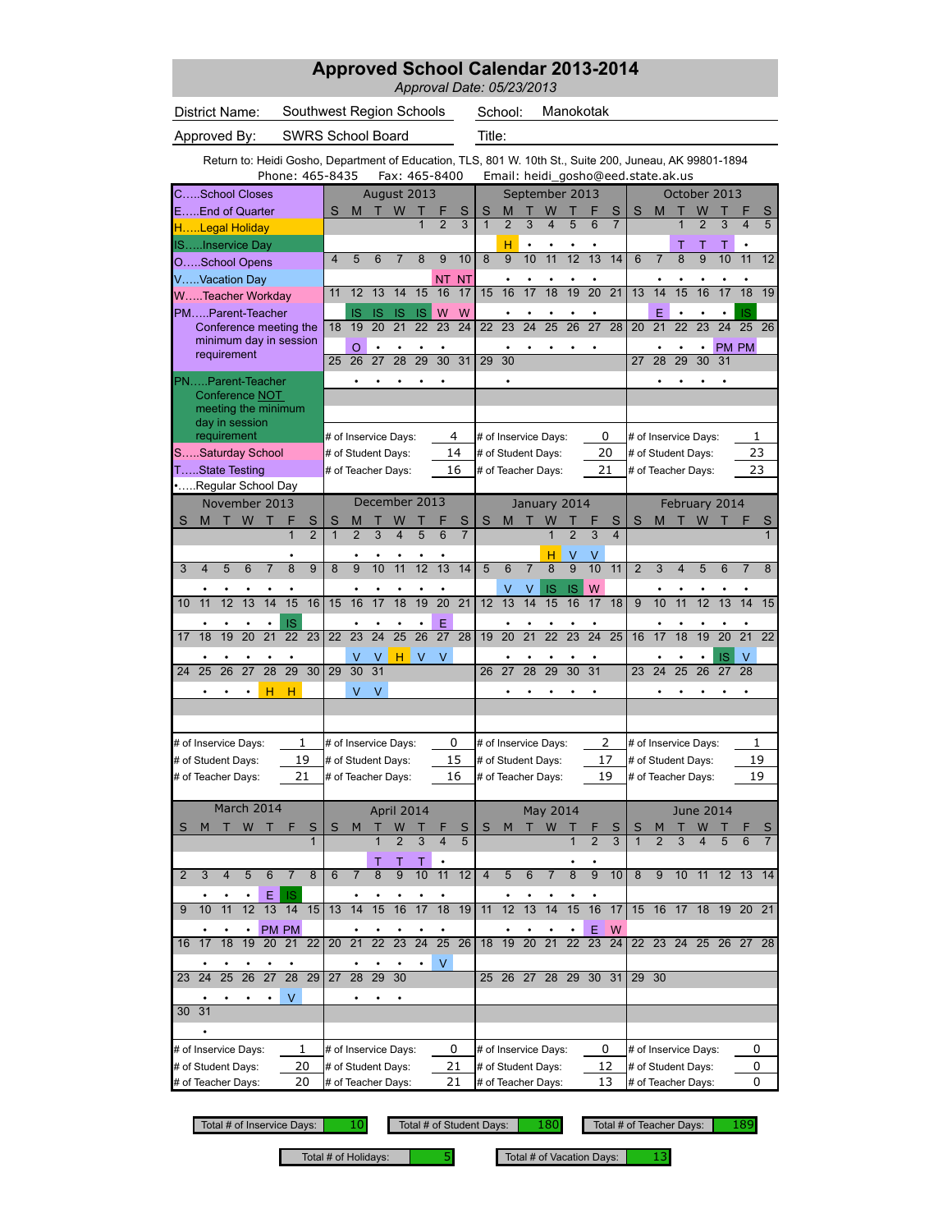|                                                                                                                            | <b>Approved School Calendar 2013-2014</b> |                                            |                 |                 |                 |                 |                 | Approval Date: 05/23/2013 |                                            |                      |                 |                 |                 |                 |                                            |                |                 |                      |                 |                         |                 |
|----------------------------------------------------------------------------------------------------------------------------|-------------------------------------------|--------------------------------------------|-----------------|-----------------|-----------------|-----------------|-----------------|---------------------------|--------------------------------------------|----------------------|-----------------|-----------------|-----------------|-----------------|--------------------------------------------|----------------|-----------------|----------------------|-----------------|-------------------------|-----------------|
| <b>District Name:</b>                                                                                                      | Southwest Region Schools                  |                                            |                 |                 |                 |                 |                 |                           | School:                                    |                      |                 |                 | Manokotak       |                 |                                            |                |                 |                      |                 |                         |                 |
| Approved By:                                                                                                               | <b>SWRS School Board</b>                  |                                            |                 |                 |                 |                 |                 | Title:                    |                                            |                      |                 |                 |                 |                 |                                            |                |                 |                      |                 |                         |                 |
| Return to: Heidi Gosho, Department of Education, TLS, 801 W. 10th St., Suite 200, Juneau, AK 99801-1894<br>Phone: 465-8435 |                                           |                                            |                 | Fax: 465-8400   |                 |                 |                 |                           |                                            |                      |                 |                 |                 |                 | Email: heidi_gosho@eed.state.ak.us         |                |                 |                      |                 |                         |                 |
| CSchool Closes                                                                                                             |                                           |                                            |                 | August 2013     |                 |                 |                 |                           |                                            |                      | September 2013  |                 |                 |                 |                                            |                |                 | October 2013         |                 |                         |                 |
| EEnd of Quarter                                                                                                            | S                                         | M                                          | т               | W               | Т               | F               | S               | S                         | M                                          |                      | W               |                 | F               | S               | S                                          | M              | т               | W                    |                 | F                       | S               |
| HLegal Holiday                                                                                                             |                                           |                                            |                 |                 | $\mathbf{1}$    | $\overline{2}$  | 3               | $\mathbf{1}$              | $\overline{2}$                             | 3                    | $\overline{4}$  | 5               | 6               | $\overline{7}$  |                                            |                | 1               | $\overline{2}$       | 3               | $\overline{\mathbf{4}}$ | 5               |
| ISInservice Day                                                                                                            | $\overline{\mathbf{4}}$                   | 5                                          | 6               | $\overline{7}$  | 8               | 9               | 10              | $\overline{8}$            | н<br>$\overline{9}$                        | 10                   | 11              | 12              | 13              | 14              | 6                                          | $\overline{7}$ | 8               | $\overline{9}$       | 10              | 11                      | 12              |
| OSchool Opens<br>VVacation Day                                                                                             |                                           |                                            |                 |                 |                 | <b>NT</b>       | <b>NT</b>       |                           | ٠                                          |                      |                 |                 |                 |                 |                                            |                |                 |                      |                 |                         |                 |
| WTeacher Workday                                                                                                           | 11                                        | 12                                         | 13              | 14              | 15              | 16              | 17              | 15                        | 16                                         | 17                   | 18              | 19              | 20              | $\overline{21}$ | 13                                         | 14             | 15              | 16                   | 17              | 18                      | 19              |
| PMParent-Teacher                                                                                                           |                                           | IS                                         | IS              | IS              | IS              | W               | W               |                           |                                            |                      |                 |                 |                 |                 |                                            | E              | $\bullet$       |                      |                 | IS                      |                 |
| Conference meeting the                                                                                                     | 18                                        | 19                                         | 20              | 21              | 22              | 23              | 24              | 22                        | 23                                         | 24                   | 25              | 26              | 27              | 28              | 20                                         | 21             | 22              | 23                   | 24              | 25                      | 26              |
| minimum day in session<br>requirement                                                                                      |                                           | $\circ$                                    |                 |                 |                 |                 |                 |                           |                                            |                      |                 |                 |                 |                 |                                            |                |                 |                      |                 | PM PM                   |                 |
|                                                                                                                            | 25                                        | 26                                         | 27              | 28              | 29              | $\overline{30}$ | 31              | 29                        | 30                                         |                      |                 |                 |                 |                 | 27                                         | 28             | 29              | 30                   | 31              |                         |                 |
| PNParent-Teacher<br>Conference NOT                                                                                         |                                           |                                            |                 |                 |                 |                 |                 |                           | ٠                                          |                      |                 |                 |                 |                 |                                            |                |                 |                      |                 |                         |                 |
| meeting the minimum                                                                                                        |                                           |                                            |                 |                 |                 |                 |                 |                           |                                            |                      |                 |                 |                 |                 |                                            |                |                 |                      |                 |                         |                 |
| day in session                                                                                                             |                                           |                                            |                 |                 |                 |                 |                 |                           |                                            |                      |                 |                 |                 |                 |                                            |                |                 |                      |                 |                         |                 |
| requirement<br>SSaturday School                                                                                            |                                           | # of Inservice Days:<br># of Student Days: |                 |                 |                 | 4               | 14              |                           | # of Inservice Days:<br># of Student Days: |                      |                 |                 | 0<br>20         |                 | # of Student Days:                         |                |                 | # of Inservice Days: |                 |                         | 1<br>23         |
| TState Testing                                                                                                             |                                           | # of Teacher Days:                         |                 |                 |                 |                 | 16              |                           | # of Teacher Days:                         |                      |                 |                 | 21              |                 |                                            |                |                 | # of Teacher Days:   |                 | 23                      |                 |
| Regular School Day                                                                                                         |                                           |                                            |                 |                 |                 |                 |                 |                           |                                            |                      |                 |                 |                 |                 |                                            |                |                 |                      |                 |                         |                 |
| November 2013                                                                                                              |                                           |                                            |                 | December 2013   |                 |                 |                 |                           |                                            |                      | January 2014    |                 |                 |                 |                                            |                |                 | February 2014        |                 |                         |                 |
| W<br>M<br>S                                                                                                                | S<br>S                                    | M                                          |                 |                 |                 |                 | S               | S                         | M                                          |                      | W               |                 |                 | S               | S                                          | M              |                 | W                    |                 |                         | S               |
| $\overline{1}$                                                                                                             | $\overline{2}$<br>$\overline{1}$          | $\overline{2}$                             | $\overline{3}$  | $\overline{4}$  | 5               | $\overline{6}$  | $\overline{7}$  |                           |                                            |                      | $\overline{1}$  | $\overline{2}$  | $\overline{3}$  | $\overline{4}$  |                                            |                |                 |                      |                 |                         | $\mathbf{1}$    |
|                                                                                                                            |                                           |                                            |                 |                 |                 |                 |                 |                           |                                            |                      | н               | V               |                 |                 |                                            |                |                 |                      |                 |                         |                 |
| 5<br>6<br>8<br>3<br>4<br>7                                                                                                 | 9<br>8                                    | 9                                          | 10              | 11              | 12              | 13              | 14              | 5                         | 6                                          | $\overline{7}$       | 8               | 9               | 10              | 11              | $\overline{2}$                             | 3              | 4               | 5                    | 6               | 7                       | 8               |
| $\overline{14}$<br>11<br>12<br>13<br>15<br>10                                                                              | 16<br>15                                  | 16                                         | 17              | $\overline{18}$ | $\overline{19}$ | $\overline{20}$ | 21              | 12                        | ٧<br>13                                    | ٧<br>$\overline{14}$ | IS<br>15        | IS<br>16        | W<br>17         | 18              | 9                                          | 10             | 11              | 12                   | 13              | 14                      | 15              |
| <b>IS</b>                                                                                                                  |                                           |                                            |                 |                 |                 | E               |                 |                           |                                            |                      |                 |                 |                 |                 |                                            |                |                 |                      |                 |                         |                 |
| 19<br>20<br>$\overline{21}$<br>$\overline{22}$<br>18<br>17                                                                 | $\overline{23}$<br>22                     | 23                                         | $\overline{24}$ | $\overline{25}$ | $\overline{26}$ | $\overline{27}$ | $\overline{28}$ | 19                        | $\overline{20}$                            | $\overline{21}$      | $\overline{22}$ | $\overline{23}$ | $\overline{24}$ | $\overline{25}$ | 16                                         | 17             | $\overline{18}$ | 19                   | $\overline{20}$ | $\overline{21}$         | $\overline{22}$ |
| ٠<br>$\bullet$<br>٠                                                                                                        |                                           | V                                          | V               | н               | V               | $\vee$          |                 |                           | $\bullet$                                  | ٠                    | ٠               | ٠               | ٠               |                 |                                            | ٠              | ٠               | ٠                    | IS              | V                       |                 |
| $\overline{27}$<br>$\overline{28}$<br>$\overline{29}$<br>26<br>25<br>24                                                    | 30<br>29                                  | 30                                         | $\overline{31}$ |                 |                 |                 |                 | 26                        | 27                                         | 28                   | 29              | 30              | $\overline{31}$ |                 | 23                                         | 24             | 25              | 26                   | 27              | 28                      |                 |
| н<br>н                                                                                                                     |                                           | $\vee$                                     | $\vee$          |                 |                 |                 |                 |                           |                                            |                      |                 |                 |                 |                 |                                            |                |                 |                      |                 |                         |                 |
|                                                                                                                            |                                           |                                            |                 |                 |                 |                 |                 |                           |                                            |                      |                 |                 |                 |                 |                                            |                |                 |                      |                 |                         |                 |
|                                                                                                                            |                                           |                                            |                 |                 |                 |                 |                 |                           |                                            |                      |                 |                 |                 |                 |                                            |                |                 |                      |                 |                         |                 |
| # of Inservice Days:<br>1<br>19<br># of Student Days:                                                                      |                                           | # of Inservice Days:<br># of Student Days: |                 |                 |                 | 0               | 15              |                           | # of Inservice Days:<br># of Student Days: |                      |                 |                 | 2<br>17         |                 | # of Inservice Days:<br># of Student Days: |                |                 |                      |                 | 1<br>19                 |                 |
| 21<br># of Teacher Days:                                                                                                   |                                           | # of Teacher Days:                         |                 |                 |                 |                 | 16              |                           | # of Teacher Days:                         |                      |                 |                 | 19              |                 |                                            |                |                 | # of Teacher Days:   |                 |                         | 19              |
|                                                                                                                            |                                           |                                            |                 |                 |                 |                 |                 |                           |                                            |                      |                 |                 |                 |                 |                                            |                |                 |                      |                 |                         |                 |
| March 2014                                                                                                                 |                                           |                                            |                 | April 2014      |                 |                 |                 |                           |                                            |                      | May 2014        |                 |                 |                 |                                            |                |                 | <b>June 2014</b>     |                 |                         |                 |
| W<br>M<br>т<br>S                                                                                                           | S<br>S                                    | M                                          |                 | W               |                 |                 | S               | S                         | M                                          |                      | W               |                 |                 | S               | S                                          | M              |                 | W                    |                 | F                       |                 |
|                                                                                                                            | $\mathbf{1}$                              |                                            |                 | $\overline{2}$  | 3               | $\overline{4}$  | 5               |                           |                                            |                      |                 | 1               | $\overline{2}$  | 3               | $\mathbf{1}$                               | $\overline{2}$ | 3               | 4                    | 5               | 6                       | $\overline{7}$  |
| 3<br>$\overline{4}$<br>5<br>6<br>$\overline{7}$<br>$\overline{2}$                                                          | 8<br>6                                    | $\overline{7}$                             | Τ<br>8          | Τ<br>9          | 10              | 11              | 12              | $\overline{4}$            | 5                                          | 6                    | $\overline{7}$  | 8               | 9               | 10              | 8                                          | 9              | 10              | $\overline{11}$      |                 | 12 13 14                |                 |
| <b>IS</b>                                                                                                                  |                                           |                                            |                 |                 |                 |                 |                 |                           |                                            |                      |                 |                 |                 |                 |                                            |                |                 |                      |                 |                         |                 |
| Е<br>14<br>10<br>12<br>13<br>11<br>9                                                                                       | 15<br>13                                  | 14                                         | 15              | 16              | 17              | 18              | 19              | 11                        | 12                                         | 13                   | 14              | 15              | 16              | 17              | 15                                         | 16             | 17              | 18                   | 19              | $20\quad21$             |                 |
| PM PM<br>$\bullet$                                                                                                         |                                           |                                            |                 |                 |                 |                 |                 |                           |                                            |                      |                 |                 | Е               | W               |                                            |                |                 |                      |                 |                         |                 |
| 18<br>19<br>17<br>20<br>21<br>16                                                                                           | 22<br>20                                  | $\overline{21}$                            | $\overline{22}$ | $\overline{23}$ | $\overline{24}$ | 25              | 26              | 18                        | 19                                         | 20                   | $\overline{21}$ | $\overline{22}$ | 23              | 24              | 22                                         | 23             | 24              | 25                   | 26              | 27 28                   |                 |
| ٠<br>٠                                                                                                                     |                                           |                                            |                 |                 | ٠               | V               |                 |                           |                                            |                      |                 |                 |                 |                 |                                            |                |                 |                      |                 |                         |                 |
| $\overline{25}$<br>$\overline{27}$<br>28<br>24<br>26<br>23                                                                 | 29<br>27                                  | 28                                         | $\overline{29}$ | 30              |                 |                 |                 |                           | 25 26 27                                   |                      | 28 29 30 31     |                 |                 |                 | 29 30                                      |                |                 |                      |                 |                         |                 |
| V                                                                                                                          |                                           |                                            |                 |                 |                 |                 |                 |                           |                                            |                      |                 |                 |                 |                 |                                            |                |                 |                      |                 |                         |                 |
| 31<br>30                                                                                                                   |                                           |                                            |                 |                 |                 |                 |                 |                           |                                            |                      |                 |                 |                 |                 |                                            |                |                 |                      |                 |                         |                 |
|                                                                                                                            |                                           |                                            |                 |                 |                 |                 |                 |                           |                                            |                      |                 |                 |                 |                 |                                            |                |                 |                      |                 |                         |                 |
| 1<br># of Inservice Days:<br>20<br># of Student Days:                                                                      |                                           | # of Inservice Days:<br># of Student Days: |                 |                 |                 | 0               | 21              |                           | # of Inservice Days:<br># of Student Days: |                      |                 |                 | 0<br>12         |                 | # of Inservice Days:                       |                |                 | # of Student Days:   |                 |                         | 0<br>0          |
| 20<br># of Teacher Days:                                                                                                   |                                           | # of Teacher Days:                         |                 |                 |                 | 21              |                 |                           | # of Teacher Days:                         |                      |                 |                 | 13              |                 |                                            |                |                 | # of Teacher Days:   |                 |                         | 0               |

Total # of Holidays:  $\begin{array}{|c|c|c|c|c|} \hline \end{array}$  Total # of Vacation Days:  $\begin{array}{|c|c|c|c|c|} \hline \end{array}$  13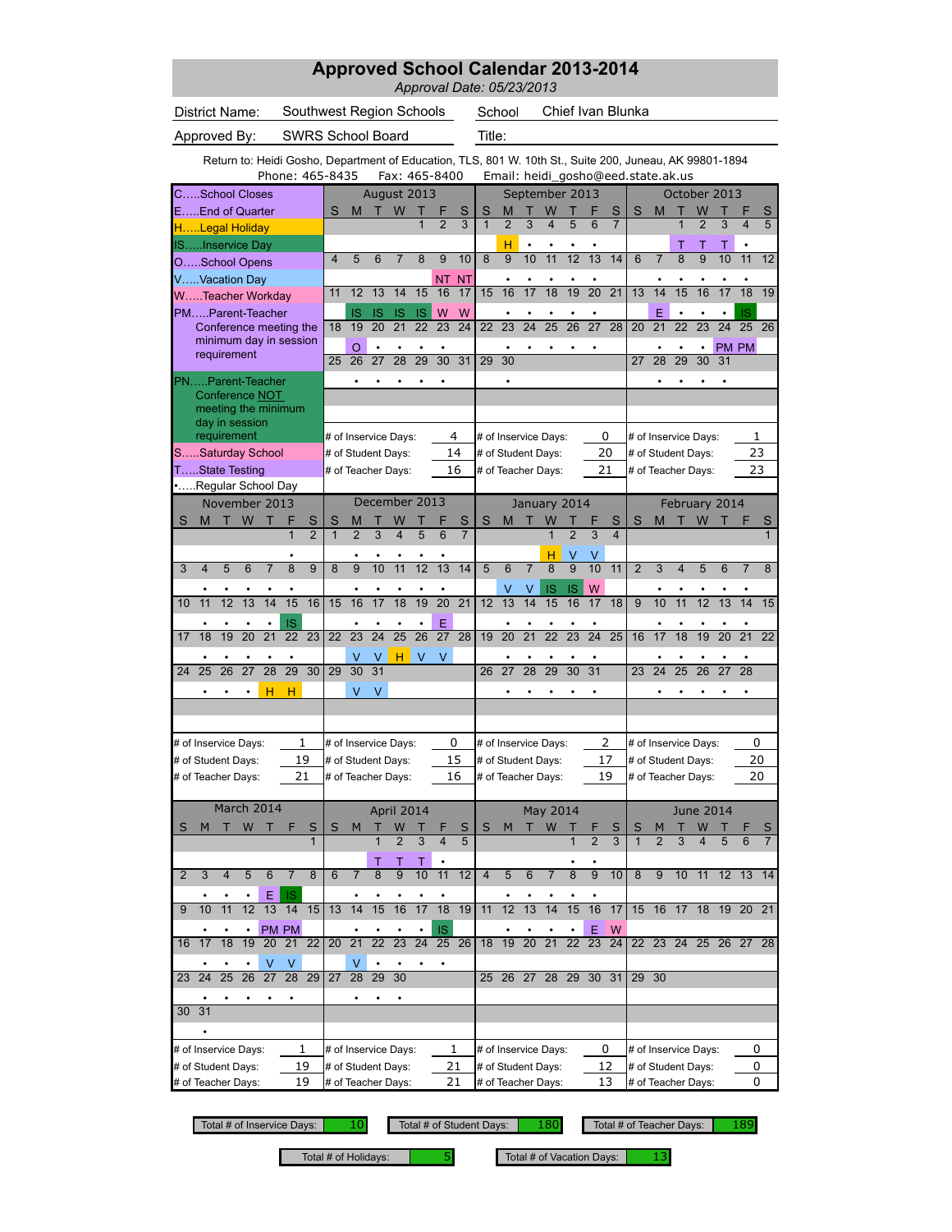|                                                                                                         |                                                       | <b>Approved School Calendar 2013-2014</b> |                 |                                    | Approval Date: 05/23/2013    |                         |                                          |                      |                                    |                 |                 |                 |                 |                |                                          |                 |                 |                         |                 |
|---------------------------------------------------------------------------------------------------------|-------------------------------------------------------|-------------------------------------------|-----------------|------------------------------------|------------------------------|-------------------------|------------------------------------------|----------------------|------------------------------------|-----------------|-----------------|-----------------|-----------------|----------------|------------------------------------------|-----------------|-----------------|-------------------------|-----------------|
| District Name:                                                                                          |                                                       | Southwest Region Schools                  |                 |                                    |                              |                         | School                                   |                      | Chief Ivan Blunka                  |                 |                 |                 |                 |                |                                          |                 |                 |                         |                 |
| Approved By:                                                                                            |                                                       | <b>SWRS School Board</b>                  |                 |                                    |                              | Title:                  |                                          |                      |                                    |                 |                 |                 |                 |                |                                          |                 |                 |                         |                 |
| Return to: Heidi Gosho, Department of Education, TLS, 801 W. 10th St., Suite 200, Juneau, AK 99801-1894 | Phone: 465-8435                                       |                                           |                 |                                    | Fax: 465-8400                |                         |                                          |                      | Email: heidi_gosho@eed.state.ak.us |                 |                 |                 |                 |                |                                          |                 |                 |                         |                 |
| <b>CSchool Closes</b>                                                                                   |                                                       |                                           | August 2013     |                                    |                              |                         |                                          |                      | September 2013                     |                 |                 |                 |                 |                | October 2013                             |                 |                 |                         |                 |
| EEnd of Quarter                                                                                         |                                                       | S<br>M                                    | т               | W<br>Т                             | F<br>S                       | S                       | M                                        |                      | W                                  | Т               | F               | S               | S               | M              | т                                        | W               |                 | F                       | S               |
| HLegal Holiday                                                                                          |                                                       |                                           |                 | 1                                  | $\overline{2}$<br>3          | $\mathbf{1}$            | $\overline{2}$                           | 3                    | $\overline{\mathbf{4}}$            | 5               | 6               | $\overline{7}$  |                 |                | $\overline{1}$                           | $\overline{2}$  | 3               | $\overline{\mathbf{4}}$ | 5               |
| ISInservice Day                                                                                         |                                                       | $\overline{4}$<br>5                       | 6               | 8<br>$\overline{7}$                | 9<br>10                      | 8                       | H<br>$\overline{9}$                      | 10                   | 11                                 | 12              | 13              | 14              | 6               | $\overline{7}$ | Τ<br>8                                   | 9               | 10              | 11                      | 12              |
| OSchool Opens<br>VVacation Day                                                                          |                                                       |                                           |                 |                                    | NT<br><b>NT</b>              |                         | ٠                                        |                      |                                    |                 |                 |                 |                 |                |                                          |                 |                 |                         |                 |
| WTeacher Workday                                                                                        |                                                       | 11<br>12                                  | 13              | 14<br>15                           | 16<br>17                     | 15                      | 16                                       | 17                   | 18                                 | 19              | $\overline{20}$ | $\overline{21}$ | 13              | 14             | 15                                       | 16              | 17              | 18                      | 19              |
| PMParent-Teacher                                                                                        |                                                       | IS                                        | IS              | IS<br>IS                           | W<br>W                       |                         |                                          |                      |                                    |                 |                 |                 |                 | E              |                                          |                 |                 | IS                      |                 |
| Conference meeting the                                                                                  |                                                       | 19<br>18                                  | 20              | 21<br>22                           | 23<br>24                     | 22                      | 23                                       | 24                   | 25                                 | 26              | 27              | 28              | 20              | 21             | 22                                       | 23              | 24              | 25                      | 26              |
| minimum day in session<br>requirement                                                                   |                                                       | $\Omega$                                  |                 |                                    |                              |                         |                                          |                      |                                    |                 |                 |                 |                 |                |                                          |                 |                 | PM PM                   |                 |
|                                                                                                         |                                                       | 25<br>26                                  | 27              | 28<br>29                           | $\overline{30}$<br>31        | 29                      | 30                                       |                      |                                    |                 |                 |                 | 27              | 28             | 29                                       | 30              | 31              |                         |                 |
| PNParent-Teacher<br>Conference NOT                                                                      |                                                       |                                           |                 |                                    |                              |                         |                                          |                      |                                    |                 |                 |                 |                 |                |                                          |                 |                 |                         |                 |
| meeting the minimum                                                                                     |                                                       |                                           |                 |                                    |                              |                         |                                          |                      |                                    |                 |                 |                 |                 |                |                                          |                 |                 |                         |                 |
| day in session                                                                                          |                                                       |                                           |                 |                                    |                              |                         |                                          |                      |                                    |                 |                 |                 |                 |                |                                          |                 |                 |                         |                 |
| requirement                                                                                             |                                                       | # of Inservice Days:                      |                 |                                    | 4<br>14                      |                         |                                          |                      | # of Inservice Days:               |                 | 0               |                 |                 |                | # of Inservice Days:                     |                 |                 | 1                       |                 |
| SSaturday School<br>TState Testing                                                                      |                                                       | # of Student Days:<br># of Teacher Days:  |                 |                                    | 16                           |                         | # of Student Days:<br># of Teacher Days: |                      |                                    |                 | 20<br>21        |                 |                 |                | # of Student Days:<br># of Teacher Days: |                 |                 | 23<br>23                |                 |
| Regular School Day                                                                                      |                                                       |                                           |                 |                                    |                              |                         |                                          |                      |                                    |                 |                 |                 |                 |                |                                          |                 |                 |                         |                 |
| November 2013                                                                                           |                                                       |                                           | December 2013   |                                    |                              |                         |                                          |                      | January 2014                       |                 |                 |                 |                 |                | February 2014                            |                 |                 |                         |                 |
| W<br>M<br>S                                                                                             | F<br>S                                                | S<br>M                                    |                 |                                    | S                            | S                       | M                                        |                      | W                                  |                 |                 | S               | S               | M              |                                          | W               |                 |                         | S               |
|                                                                                                         | $\overline{2}$<br>$\overline{1}$                      | $\overline{1}$<br>$\overline{2}$          | $\overline{3}$  | 5<br>$\overline{\mathbf{4}}$       | 6<br>$\overline{7}$          |                         |                                          |                      | $\overline{1}$                     | $\overline{2}$  | $\overline{3}$  | $\overline{4}$  |                 |                |                                          |                 |                 |                         | $\mathbf{1}$    |
|                                                                                                         |                                                       |                                           |                 |                                    |                              |                         |                                          |                      | н                                  | V               |                 |                 |                 |                |                                          |                 |                 |                         |                 |
| 5<br>6<br>3<br>4                                                                                        | 9<br>8<br>7                                           | 8<br>9                                    | 10              | 11<br>12                           | 13<br>14                     | 5                       | 6                                        | 7                    | 8                                  | 9               | 10              | 11              | $\overline{2}$  | 3              | $\overline{4}$                           | 5               | 6               | 7                       | 8               |
| $\overline{13}$<br>11<br>12                                                                             | 14<br>15<br>16                                        | 15<br>16                                  | 17              | $\overline{18}$<br>$\overline{19}$ | $\overline{20}$<br>21        | 12                      | V<br>13                                  | ٧<br>$\overline{14}$ | IS<br>15                           | IS<br>16        | W<br>17         | 18              | $\overline{9}$  | 10             | 11                                       | $\overline{12}$ | 13              | 14                      | 15              |
| 10                                                                                                      |                                                       |                                           |                 |                                    |                              |                         |                                          |                      |                                    |                 |                 |                 |                 |                |                                          |                 |                 |                         |                 |
| 19<br>$\overline{20}$<br>18<br>17                                                                       | <b>IS</b><br>$\overline{21}$<br>$\overline{23}$<br>22 | $\overline{23}$<br>22                     | $\overline{24}$ | $\overline{25}$<br>$\overline{26}$ | Ė<br>$\overline{27}$<br>28   | 19                      | $\overline{20}$                          | $\overline{21}$      | $\overline{22}$                    | $\overline{23}$ | $\overline{24}$ | $\overline{25}$ | 16              | 17             | $\overline{18}$                          | 19              | $\overline{20}$ | $\overline{21}$         | $\overline{22}$ |
| ٠<br>٠                                                                                                  | ٠                                                     | V                                         | ٧               | H<br>V                             | $\vee$                       |                         | ٠                                        | ٠                    | ٠                                  | ٠               | $\bullet$       |                 |                 | ٠              | ٠                                        | ٠               |                 | ٠                       |                 |
| $\overline{27}$<br>26<br>25<br>24                                                                       | $\overline{28}$<br>29<br>30                           | 30<br>29                                  | $\overline{31}$ |                                    |                              | 26                      | 27                                       | 28                   | 29                                 | 30              | $\overline{31}$ |                 | 23              | 24             | 25                                       | 26              | 27              | 28                      |                 |
|                                                                                                         | н<br>н                                                | $\vee$                                    | $\vee$          |                                    |                              |                         |                                          |                      |                                    |                 |                 |                 |                 |                |                                          |                 |                 |                         |                 |
|                                                                                                         |                                                       |                                           |                 |                                    |                              |                         |                                          |                      |                                    |                 |                 |                 |                 |                |                                          |                 |                 |                         |                 |
|                                                                                                         |                                                       |                                           |                 |                                    |                              |                         |                                          |                      |                                    |                 |                 |                 |                 |                |                                          |                 |                 |                         |                 |
| # of Inservice Days:                                                                                    | 1                                                     | # of Inservice Days:                      |                 |                                    | 0                            |                         |                                          |                      | # of Inservice Days:               |                 | 2               |                 |                 |                | # of Inservice Days:                     |                 |                 | 0                       |                 |
| # of Student Days:                                                                                      | 19                                                    | # of Student Days:                        |                 |                                    | 15                           |                         | # of Student Days:                       |                      |                                    |                 | 17              |                 |                 |                | # of Student Days:                       |                 |                 | 20                      |                 |
| # of Teacher Days:                                                                                      | 21                                                    | # of Teacher Days:                        |                 |                                    | 16                           |                         | # of Teacher Days:                       |                      |                                    |                 | 19              |                 |                 |                | # of Teacher Days:                       |                 |                 | 20                      |                 |
| March 2014                                                                                              |                                                       |                                           |                 | April 2014                         |                              |                         |                                          |                      | May 2014                           |                 |                 |                 |                 |                | <b>June 2014</b>                         |                 |                 |                         |                 |
| W<br>M<br>т<br>S                                                                                        | S                                                     | S<br>M                                    |                 | W                                  | S                            | S                       | M                                        |                      | W                                  |                 |                 | S               | S               | M              |                                          | W               |                 | F                       | $\mathsf{s}$    |
|                                                                                                         | $\mathbf{1}$                                          |                                           |                 | $\overline{2}$<br>3                | $\overline{\mathbf{4}}$<br>5 |                         |                                          |                      |                                    | 1               | $\overline{2}$  | 3               | $\mathbf{1}$    | $\overline{2}$ | 3                                        | 4               | 5               | 6                       | $\overline{7}$  |
|                                                                                                         |                                                       |                                           | Τ               | Τ<br>Τ                             |                              |                         |                                          |                      |                                    |                 |                 |                 |                 |                |                                          |                 |                 |                         |                 |
| $\overline{4}$<br>5<br>$\overline{2}$<br>3                                                              | 8<br>6<br>$\overline{7}$                              | $\overline{7}$<br>6                       | 8               | 10<br>9                            | 11<br>12                     | $\overline{\mathbf{4}}$ | 5                                        | 6                    | $\overline{7}$                     | 8               | 9               | 10              | 8               | 9              | 10                                       | 11              |                 | 12 13 14                |                 |
|                                                                                                         | <b>IS</b><br>Е                                        |                                           |                 |                                    |                              |                         |                                          |                      |                                    |                 |                 |                 |                 |                |                                          |                 |                 |                         |                 |
| 12<br>10<br>11<br>9                                                                                     | 14<br>13<br>15                                        | 13<br>14                                  | 15              | 16<br>17                           | 18<br>19                     | 11                      | 12                                       | 13                   | 14                                 | 15              | 16              | 17              | 15              | 16             | 17                                       | 18              | 19              | 20 21                   |                 |
| $\bullet$<br>18<br>19<br>17<br>16                                                                       | PM PM<br>$\overline{21}$<br>20<br>22                  | 21<br>20                                  | $\overline{22}$ | 23<br>24                           | IS<br>25<br>26               | 18                      | 19                                       | $\overline{20}$      | 21                                 | $\overline{22}$ | Ε<br>23         | W<br>24         | 22 <sub>2</sub> | 23             | 24                                       | 25              | 26              | 27 28                   |                 |
|                                                                                                         |                                                       |                                           |                 |                                    |                              |                         |                                          |                      |                                    |                 |                 |                 |                 |                |                                          |                 |                 |                         |                 |
| $\bullet$<br>$\overline{25}$<br>26<br>24<br>23                                                          | V<br>٧<br>27<br>28<br>29                              | V<br>27<br>28                             | 29              | ٠<br>٠<br>30                       | $\bullet$                    | 25                      |                                          |                      | 26 27 28 29 30 31                  |                 |                 |                 |                 | 29 30          |                                          |                 |                 |                         |                 |
|                                                                                                         |                                                       |                                           |                 |                                    |                              |                         |                                          |                      |                                    |                 |                 |                 |                 |                |                                          |                 |                 |                         |                 |
| 31<br>30                                                                                                |                                                       |                                           |                 |                                    |                              |                         |                                          |                      |                                    |                 |                 |                 |                 |                |                                          |                 |                 |                         |                 |
|                                                                                                         |                                                       |                                           |                 |                                    |                              |                         |                                          |                      |                                    |                 |                 |                 |                 |                |                                          |                 |                 |                         |                 |
| # of Inservice Days:                                                                                    | 1                                                     | # of Inservice Days:                      |                 |                                    | 1                            |                         |                                          |                      | # of Inservice Days:               |                 | 0               |                 |                 |                | # of Inservice Days:                     |                 |                 | 0                       |                 |
| # of Student Days:                                                                                      | 19                                                    | # of Student Days:                        |                 |                                    | 21                           |                         | # of Student Days:                       |                      |                                    |                 | 12              |                 |                 |                | # of Student Days:                       |                 |                 | 0                       |                 |
| # of Teacher Days:                                                                                      | 19                                                    | # of Teacher Days:                        |                 |                                    | 21                           |                         | # of Teacher Days:                       |                      |                                    |                 | 13              |                 |                 |                | # of Teacher Days:                       |                 |                 | 0                       |                 |

Total # of Holidays:  $\begin{vmatrix} 5 \\ 5 \end{vmatrix}$  Total # of Vacation Days:  $\begin{vmatrix} 13 \\ 13 \end{vmatrix}$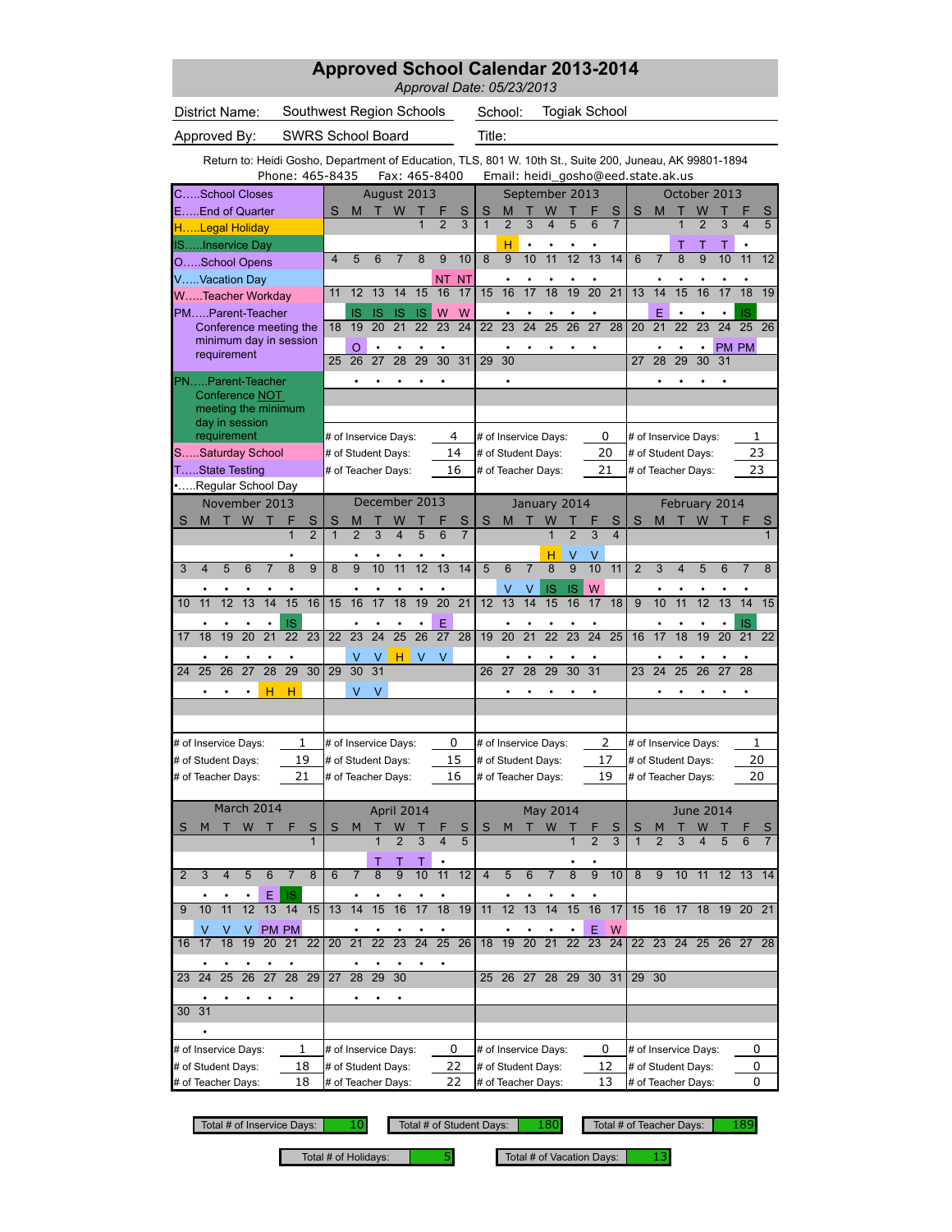|                                       |         |                 |                 |                |                 |                                                                                |                 |                    |                      |                 |                         |                 | <b>Approved School Calendar 2013-2014</b><br>Approval Date: 05/23/2013 |                      |                   |                 |                 |                      |                         |                                                                                                                                               |                |                 |                    |                 |                 |                 |
|---------------------------------------|---------|-----------------|-----------------|----------------|-----------------|--------------------------------------------------------------------------------|-----------------|--------------------|----------------------|-----------------|-------------------------|-----------------|------------------------------------------------------------------------|----------------------|-------------------|-----------------|-----------------|----------------------|-------------------------|-----------------------------------------------------------------------------------------------------------------------------------------------|----------------|-----------------|--------------------|-----------------|-----------------|-----------------|
| District Name:                        |         |                 |                 |                |                 | Southwest Region Schools                                                       |                 |                    |                      |                 |                         |                 | School:                                                                |                      |                   |                 |                 | <b>Togiak School</b> |                         |                                                                                                                                               |                |                 |                    |                 |                 |                 |
| Approved By:                          |         |                 |                 |                |                 | SWRS School Board                                                              |                 |                    |                      |                 |                         |                 | Title:                                                                 |                      |                   |                 |                 |                      |                         |                                                                                                                                               |                |                 |                    |                 |                 |                 |
|                                       |         |                 |                 |                |                 | Phone: 465-8435                                                                |                 |                    |                      |                 | Fax: 465-8400           |                 |                                                                        |                      |                   |                 |                 |                      |                         | Return to: Heidi Gosho, Department of Education, TLS, 801 W. 10th St., Suite 200, Juneau, AK 99801-1894<br>Email: heidi_gosho@eed.state.ak.us |                |                 |                    |                 |                 |                 |
| CSchool Closes                        |         |                 |                 |                |                 |                                                                                |                 |                    | August 2013          |                 |                         |                 |                                                                        |                      | September 2013    |                 |                 |                      |                         |                                                                                                                                               |                |                 | October 2013       |                 |                 |                 |
| EEnd of Quarter                       |         |                 |                 |                |                 | S                                                                              | M               | т                  | W                    | Т               | F                       | S               | S                                                                      | M                    |                   | W               | Т               | F                    | S                       | S                                                                                                                                             | M              | т               | W                  |                 | F               | S               |
| HLegal Holiday                        |         |                 |                 |                |                 |                                                                                |                 |                    |                      | 1               | $\overline{2}$          | 3               | $\mathbf{1}$                                                           | $\overline{2}$       | 3                 | 4               | 5               | 6                    | $\overline{7}$          |                                                                                                                                               |                | 1               | $\overline{2}$     | 3               | $\overline{4}$  | 5               |
| ISInservice Day                       |         |                 |                 |                |                 | $\overline{\mathbf{4}}$                                                        | 5               | 6                  | $\overline{7}$       | 8               | 9                       | 10              | 8                                                                      | н<br>$\overline{9}$  | ٠<br>10           | 11              | 12              | 13                   | 14                      | 6                                                                                                                                             | 7              | Т<br>8          | 9                  | 10              | $\bullet$<br>11 | 12              |
| OSchool Opens                         |         |                 |                 |                |                 |                                                                                |                 |                    |                      |                 |                         |                 |                                                                        | ٠                    |                   |                 |                 |                      |                         |                                                                                                                                               |                |                 |                    |                 |                 |                 |
| VVacation Day<br>WTeacher Workday     |         |                 |                 |                |                 | 11                                                                             | 12              | 13                 | 14                   | 15              | NT<br>16                | <b>NT</b><br>17 | 15                                                                     | 16                   | 17                | 18              | 19              | 20                   | $\overline{21}$         | 13                                                                                                                                            | 14             | 15              | 16                 | 17              | 18              | 19              |
| PMParent-Teacher                      |         |                 |                 |                |                 |                                                                                | <b>IS</b>       | IS                 | IS                   | IS              | W                       | W               |                                                                        | $\bullet$            |                   |                 |                 |                      |                         |                                                                                                                                               | E              | $\bullet$       | $\bullet$          |                 | IS              |                 |
| Conference meeting the                |         |                 |                 |                |                 | 18                                                                             | 19              | 20                 | 21                   | 22              | 23                      | 24              | 22                                                                     | 23                   | 24                | 25              | 26              | 27                   | 28                      | 20                                                                                                                                            | 21             | 22              | 23                 | 24              | 25              | 26              |
| minimum day in session                |         |                 |                 |                |                 |                                                                                | $\circ$         |                    |                      |                 |                         |                 |                                                                        |                      |                   |                 |                 |                      |                         |                                                                                                                                               |                |                 |                    |                 | PM PM           |                 |
| requirement                           |         |                 |                 |                |                 | 25                                                                             | 26              | 27                 | 28                   | 29              | $\overline{30}$         | 31              | 29                                                                     | 30                   |                   |                 |                 |                      |                         | 27                                                                                                                                            | 28             | 29              | 30                 | 31              |                 |                 |
| PNParent-Teacher                      |         |                 |                 |                |                 |                                                                                |                 |                    |                      |                 |                         |                 |                                                                        |                      |                   |                 |                 |                      |                         |                                                                                                                                               |                |                 |                    |                 |                 |                 |
| Conference NOT                        |         |                 |                 |                |                 |                                                                                |                 |                    |                      |                 |                         |                 |                                                                        |                      |                   |                 |                 |                      |                         |                                                                                                                                               |                |                 |                    |                 |                 |                 |
| meeting the minimum<br>day in session |         |                 |                 |                |                 |                                                                                |                 |                    |                      |                 |                         |                 |                                                                        |                      |                   |                 |                 |                      |                         |                                                                                                                                               |                |                 |                    |                 |                 |                 |
| requirement                           |         |                 |                 |                |                 | 4<br>0<br># of Inservice Days:<br># of Inservice Days:<br># of Inservice Days: |                 |                    |                      |                 |                         |                 |                                                                        |                      |                   |                 |                 |                      |                         | 1                                                                                                                                             |                |                 |                    |                 |                 |                 |
| SSaturday School                      |         |                 |                 |                |                 | 20<br>14<br># of Student Days:<br># of Student Days:<br># of Student Days:     |                 |                    |                      |                 |                         |                 |                                                                        |                      |                   |                 |                 |                      |                         |                                                                                                                                               | 23             |                 |                    |                 |                 |                 |
| TState Testing                        |         |                 |                 |                |                 | 16<br># of Teacher Days:<br>21<br># of Teacher Days:                           |                 |                    |                      |                 |                         |                 |                                                                        |                      |                   |                 |                 |                      |                         | # of Teacher Days:                                                                                                                            |                | 23              |                    |                 |                 |                 |
| Regular School Day                    |         |                 |                 |                |                 |                                                                                |                 |                    |                      |                 |                         |                 |                                                                        |                      |                   |                 |                 |                      |                         |                                                                                                                                               |                |                 |                    |                 |                 |                 |
|                                       |         |                 | November 2013   |                |                 |                                                                                |                 |                    | December 2013        |                 |                         |                 |                                                                        |                      | January 2014      |                 |                 |                      |                         |                                                                                                                                               |                |                 | February 2014      |                 |                 |                 |
| M<br>S                                |         | W               |                 | F              | S               | S                                                                              | M               |                    |                      |                 |                         | S               | S                                                                      | M                    |                   | W               |                 |                      | S                       | S                                                                                                                                             | M              |                 | W                  |                 |                 | S               |
|                                       |         |                 |                 | $\mathbf{1}$   | $\overline{2}$  | $\overline{1}$                                                                 | $\overline{2}$  | $\overline{3}$     | 4                    | 5               | $\overline{6}$          | $\overline{7}$  |                                                                        |                      |                   | $\overline{1}$  | $\overline{2}$  | $\overline{3}$       | $\overline{\mathbf{4}}$ |                                                                                                                                               |                |                 |                    |                 |                 | 1               |
|                                       |         |                 |                 |                | 9               |                                                                                |                 |                    |                      |                 |                         |                 |                                                                        |                      |                   | н<br>8          | V<br>9          | v<br>10              |                         | $\overline{2}$                                                                                                                                |                |                 |                    |                 |                 |                 |
| 3<br>4                                | 5       | 6               | 7               | 8              |                 | 8                                                                              | 9               | 10                 | 11                   | 12              | 13                      | 14              | 5                                                                      | 6                    | 7                 |                 |                 |                      | 11                      |                                                                                                                                               | 3              | $\overline{4}$  | 5                  | 6               | 7               | 8               |
| 11<br>10                              | 12      | 13              | 14              | 15             | 16              | 15                                                                             | 16              | 17                 | $\overline{18}$      | 19              | $\overline{20}$         | 21              | 12                                                                     | ٧<br>13              | ٧<br>14           | IS<br>15        | IS<br>16        | W<br>17              | 18                      | 9                                                                                                                                             | 10             | 11              | $\overline{12}$    | 13              | $\overline{14}$ | 15              |
|                                       |         |                 |                 |                |                 |                                                                                |                 |                    |                      |                 |                         |                 |                                                                        |                      |                   |                 |                 |                      |                         |                                                                                                                                               |                |                 |                    |                 |                 |                 |
| 18<br>17                              | 19      | $\overline{20}$ | $\overline{21}$ | IS<br>22       | $\overline{23}$ | 22                                                                             | $\overline{23}$ | $\overline{24}$    | $\overline{25}$      | $\overline{26}$ | Ė<br>$\overline{27}$    | 28              | 19                                                                     | $\overline{20}$      | $\overline{21}$   | $\overline{22}$ | $\overline{23}$ | $\overline{24}$      | $\overline{25}$         | 16                                                                                                                                            | 17             | $\overline{18}$ | 19                 | $\overline{20}$ | IS<br>21        | $\overline{22}$ |
|                                       |         | ٠               | ٠               | $\bullet$      |                 |                                                                                | V               | ٧                  | H                    | V               | $\vee$                  |                 |                                                                        | ٠                    | ٠                 | ٠               | ٠               | $\bullet$            |                         |                                                                                                                                               | ٠              | ٠               | ٠                  |                 | ٠               |                 |
| 25<br>24                              | 26      | $\overline{27}$ | $\overline{28}$ | 29             | 30              | 29                                                                             | 30              | $\overline{31}$    |                      |                 |                         |                 | 26                                                                     | 27                   | 28                | 29              | 30              | 31                   |                         | 23                                                                                                                                            | 24             | 25              | 26                 | 27              | 28              |                 |
|                                       |         |                 | н               | н              |                 |                                                                                | V               | V                  |                      |                 |                         |                 |                                                                        |                      |                   |                 |                 |                      |                         |                                                                                                                                               |                |                 |                    |                 |                 |                 |
|                                       |         |                 |                 |                |                 |                                                                                |                 |                    |                      |                 |                         |                 |                                                                        |                      |                   |                 |                 |                      |                         |                                                                                                                                               |                |                 |                    |                 |                 |                 |
|                                       |         |                 |                 |                |                 |                                                                                |                 |                    |                      |                 |                         |                 |                                                                        |                      |                   |                 |                 |                      |                         |                                                                                                                                               |                |                 |                    |                 |                 |                 |
| # of Inservice Days:                  |         |                 |                 | 1              |                 |                                                                                |                 |                    | # of Inservice Days: |                 | 0                       |                 |                                                                        | # of Inservice Days: |                   |                 |                 | 2                    |                         | # of Inservice Days:                                                                                                                          |                |                 |                    |                 | 1               |                 |
| # of Student Days:                    |         |                 |                 | 19             |                 |                                                                                |                 | # of Student Days: |                      |                 |                         | 15              |                                                                        | # of Student Days:   |                   |                 |                 | 17                   |                         | # of Student Days:                                                                                                                            |                |                 |                    |                 | 20              |                 |
| # of Teacher Days:                    |         |                 |                 | 21             |                 |                                                                                |                 |                    | # of Teacher Days:   |                 |                         | 16              |                                                                        | # of Teacher Days:   |                   |                 |                 | 19                   |                         |                                                                                                                                               |                |                 | # of Teacher Days: |                 | 20              |                 |
|                                       |         |                 |                 |                |                 |                                                                                |                 |                    |                      |                 |                         |                 |                                                                        |                      |                   |                 |                 |                      |                         |                                                                                                                                               |                |                 |                    |                 |                 |                 |
|                                       |         |                 | March 2014      |                |                 |                                                                                |                 |                    | April 2014           |                 |                         |                 |                                                                        |                      |                   | May 2014        |                 |                      |                         |                                                                                                                                               |                |                 | <b>June 2014</b>   |                 |                 |                 |
| M<br>S                                |         | W               |                 | F              | S               | S                                                                              | M               |                    | W                    |                 |                         | S               | S                                                                      | M                    |                   | W               |                 |                      | S                       | S                                                                                                                                             | M              |                 | W                  |                 | ۴               |                 |
|                                       |         |                 |                 |                | $\mathbf{1}$    |                                                                                |                 |                    | $\overline{2}$       | 3               | $\overline{\mathbf{4}}$ | 5               |                                                                        |                      |                   |                 | 1               | $\overline{2}$       | 3                       | $\mathbf{1}$                                                                                                                                  | $\overline{2}$ | 3               | 4                  | 5               | 6               | $\overline{7}$  |
| 3<br>2                                | 4       | 5               | 6               | $\overline{7}$ | 8               | 6                                                                              | $\overline{7}$  | Τ<br>8             | Τ<br>9               | Τ<br>10         | 11                      | 12              | $\overline{\mathbf{4}}$                                                | 5                    | 6                 | $\overline{7}$  | 8               | 9                    | 10                      | 8                                                                                                                                             | 9              | 10              | 11                 |                 | 12 13 14        |                 |
|                                       |         |                 |                 |                |                 |                                                                                |                 |                    |                      |                 |                         |                 |                                                                        |                      |                   |                 |                 |                      |                         |                                                                                                                                               |                |                 |                    |                 |                 |                 |
| 10<br>9                               | 11      | 12              | Е<br>13         | IS.<br>14      | 15              | 13                                                                             | 14              | 15                 | 16                   | 17              | 18                      | 19              | 11                                                                     | 12                   | 13                | 14              | 15              | 16                   | 17                      | 15                                                                                                                                            | 16             | 17              | 18                 | 19              | 20 21           |                 |
| V                                     |         |                 | PM PM           |                |                 |                                                                                |                 |                    |                      |                 |                         |                 |                                                                        |                      |                   |                 |                 | Ε                    | W                       |                                                                                                                                               |                |                 |                    |                 |                 |                 |
| 17<br>16                              | V<br>18 | V<br>19         | 20              | 21             | 22              | 20                                                                             | 21              | $\overline{22}$    | 23                   | 24              | 25                      | 26              | 18                                                                     | 19                   | $\overline{20}$   | 21              | $\overline{22}$ | 23                   | 24                      | 22 <sub>2</sub>                                                                                                                               | 23             | 24              | 25                 | 26              | 27              | 28              |
|                                       |         |                 |                 |                |                 |                                                                                |                 |                    |                      |                 | ٠                       |                 |                                                                        |                      |                   |                 |                 |                      |                         |                                                                                                                                               |                |                 |                    |                 |                 |                 |
| 24<br>23                              | 25      | 26              | 27              | 28 29          |                 | 27                                                                             | $\overline{28}$ | $\overline{29}$    | 30                   |                 |                         |                 | 25                                                                     |                      | 26 27 28 29 30 31 |                 |                 |                      |                         | 29 30                                                                                                                                         |                |                 |                    |                 |                 |                 |
|                                       |         |                 |                 |                |                 |                                                                                |                 |                    |                      |                 |                         |                 |                                                                        |                      |                   |                 |                 |                      |                         |                                                                                                                                               |                |                 |                    |                 |                 |                 |
| 31<br>30                              |         |                 |                 |                |                 |                                                                                |                 |                    |                      |                 |                         |                 |                                                                        |                      |                   |                 |                 |                      |                         |                                                                                                                                               |                |                 |                    |                 |                 |                 |
|                                       |         |                 |                 |                |                 |                                                                                |                 |                    |                      |                 |                         |                 |                                                                        |                      |                   |                 |                 |                      |                         |                                                                                                                                               |                |                 |                    |                 |                 |                 |
| # of Inservice Days:                  |         |                 |                 | 1              |                 |                                                                                |                 |                    | # of Inservice Days: |                 |                         | 0               |                                                                        | # of Inservice Days: |                   |                 |                 | 0                    |                         | # of Inservice Days:                                                                                                                          |                |                 |                    |                 | 0               |                 |
| # of Student Days:                    |         |                 |                 |                | 18              |                                                                                |                 | # of Student Days: |                      |                 | 22                      |                 |                                                                        | # of Student Days:   |                   |                 |                 | 12                   |                         |                                                                                                                                               |                |                 | # of Student Days: |                 | 0               |                 |
| # of Teacher Days:                    |         |                 |                 |                | 18              |                                                                                |                 | # of Teacher Days: |                      |                 |                         | 22              |                                                                        | # of Teacher Days:   |                   |                 |                 | 13                   |                         |                                                                                                                                               |                |                 | # of Teacher Days: |                 | 0               |                 |

Total # of Inservice Days: 10 Total # of Student Days: 180 Total # of Teacher Days: 189

Total # of Holidays:  $\begin{vmatrix} 5 \\ 5 \end{vmatrix}$  Total # of Vacation Days:  $\begin{vmatrix} 13 \\ 13 \end{vmatrix}$